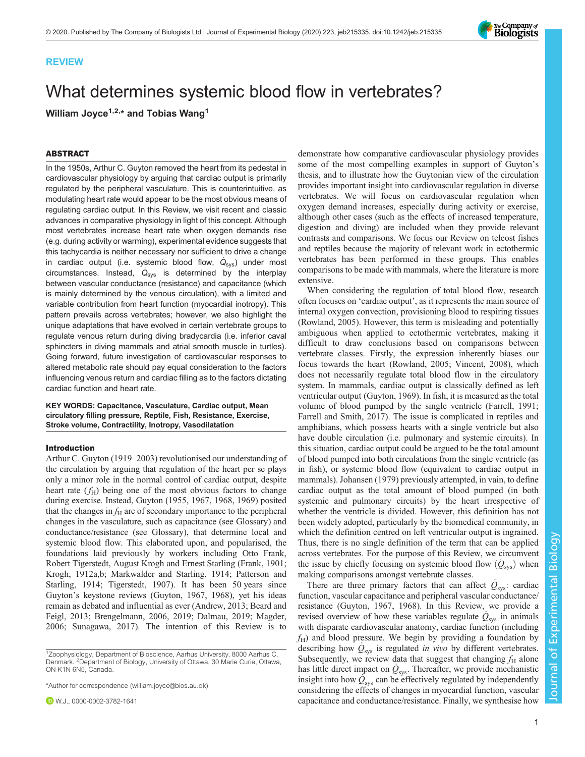

## REVIEW

# What determines systemic blood flow in vertebrates?

William Joyce<sup>1,2,\*</sup> and Tobias Wang<sup>1</sup>

# ABSTRACT

In the 1950s, Arthur C. Guyton removed the heart from its pedestal in cardiovascular physiology by arguing that cardiac output is primarily regulated by the peripheral vasculature. This is counterintuitive, as modulating heart rate would appear to be the most obvious means of regulating cardiac output. In this Review, we visit recent and classic advances in comparative physiology in light of this concept. Although most vertebrates increase heart rate when oxygen demands rise (e.g. during activity or warming), experimental evidence suggests that this tachycardia is neither necessary nor sufficient to drive a change in cardiac output (i.e. systemic blood flow,  $\dot{\mathsf{Q}}_{\mathsf{sys}}$ ) under most circumstances. Instead,  $\dot{Q}_{sys}$  is determined by the interplay between vascular conductance (resistance) and capacitance (which is mainly determined by the venous circulation), with a limited and variable contribution from heart function (myocardial inotropy). This pattern prevails across vertebrates; however, we also highlight the unique adaptations that have evolved in certain vertebrate groups to regulate venous return during diving bradycardia (i.e. inferior caval sphincters in diving mammals and atrial smooth muscle in turtles). Going forward, future investigation of cardiovascular responses to altered metabolic rate should pay equal consideration to the factors influencing venous return and cardiac filling as to the factors dictating cardiac function and heart rate.

KEY WORDS: Capacitance, Vasculature, Cardiac output, Mean circulatory filling pressure, Reptile, Fish, Resistance, Exercise, Stroke volume, Contractility, Inotropy, Vasodilatation

## Introduction

Arthur C. Guyton (1919–2003) revolutionised our understanding of the circulation by arguing that regulation of the heart per se plays only a minor role in the normal control of cardiac output, despite heart rate  $(f<sub>H</sub>)$  being one of the most obvious factors to change during exercise. Instead, [Guyton \(1955](#page-11-0), [1967](#page-11-0), [1968](#page-11-0), [1969](#page-11-0)) posited that the changes in  $f_H$  are of secondary importance to the peripheral changes in the vasculature, such as capacitance (see Glossary) and conductance/resistance (see Glossary), that determine local and systemic blood flow. This elaborated upon, and popularised, the foundations laid previously by workers including Otto Frank, Robert Tigerstedt, August Krogh and Ernest Starling ([Frank, 1901](#page-11-0); [Krogh, 1912a,b](#page-12-0); [Markwalder and Starling, 1914](#page-12-0); [Patterson and](#page-13-0) [Starling, 1914;](#page-13-0) [Tigerstedt, 1907](#page-14-0)). It has been 50 years since Guyton's keystone reviews ([Guyton, 1967, 1968](#page-11-0)), yet his ideas remain as debated and influential as ever ([Andrew, 2013](#page-9-0); [Beard and](#page-9-0) [Feigl, 2013](#page-9-0); [Brengelmann, 2006, 2019](#page-10-0); [Dalmau, 2019;](#page-10-0) [Magder,](#page-12-0) [2006](#page-12-0); [Sunagawa, 2017](#page-14-0)). The intention of this Review is to

\*Author for correspondence [\(william.joyce@bios.au.dk\)](mailto:william.joyce@bios.au.dk)

demonstrate how comparative cardiovascular physiology provides some of the most compelling examples in support of Guyton's thesis, and to illustrate how the Guytonian view of the circulation provides important insight into cardiovascular regulation in diverse vertebrates. We will focus on cardiovascular regulation when oxygen demand increases, especially during activity or exercise, although other cases (such as the effects of increased temperature, digestion and diving) are included when they provide relevant contrasts and comparisons. We focus our Review on teleost fishes and reptiles because the majority of relevant work in ectothermic vertebrates has been performed in these groups. This enables comparisons to be made with mammals, where the literature is more extensive.

When considering the regulation of total blood flow, research often focuses on 'cardiac output', as it represents the main source of internal oxygen convection, provisioning blood to respiring tissues [\(Rowland, 2005\)](#page-13-0). However, this term is misleading and potentially ambiguous when applied to ectothermic vertebrates, making it difficult to draw conclusions based on comparisons between vertebrate classes. Firstly, the expression inherently biases our focus towards the heart ([Rowland, 2005;](#page-13-0) [Vincent, 2008\)](#page-14-0), which does not necessarily regulate total blood flow in the circulatory system. In mammals, cardiac output is classically defined as left ventricular output ([Guyton, 1969\)](#page-11-0). In fish, it is measured as the total volume of blood pumped by the single ventricle [\(Farrell, 1991](#page-11-0); [Farrell and Smith, 2017](#page-11-0)). The issue is complicated in reptiles and amphibians, which possess hearts with a single ventricle but also have double circulation (i.e. pulmonary and systemic circuits). In this situation, cardiac output could be argued to be the total amount of blood pumped into both circulations from the single ventricle (as in fish), or systemic blood flow (equivalent to cardiac output in mammals). [Johansen \(1979\)](#page-12-0) previously attempted, in vain, to define cardiac output as the total amount of blood pumped (in both systemic and pulmonary circuits) by the heart irrespective of whether the ventricle is divided. However, this definition has not been widely adopted, particularly by the biomedical community, in which the definition centred on left ventricular output is ingrained. Thus, there is no single definition of the term that can be applied across vertebrates. For the purpose of this Review, we circumvent the issue by chiefly focusing on systemic blood flow  $(Q_{\text{sys}})$  when making comparisons amongst vertebrate classes.

There are three primary factors that can affect  $\dot{Q}_{\rm sys}$ : cardiac function, vascular capacitance and peripheral vascular conductance/ resistance [\(Guyton, 1967](#page-11-0), [1968](#page-11-0)). In this Review, we provide a revised overview of how these variables regulate  $\dot{Q}_{\rm sys}$  in animals with disparate cardiovascular anatomy, cardiac function (including  $f_H$ ) and blood pressure. We begin by providing a foundation by describing how  $\dot{Q}_{\rm sys}$  is regulated *in vivo* by different vertebrates. Subsequently, we review data that suggest that changing  $f_H$  alone has little direct impact on  $\dot{Q}_{\text{sys}}$ . Thereafter, we provide mechanistic insight into how  $\mathcal{Q}_{sys}$  can be effectively regulated by independently considering the effects of changes in myocardial function, vascular capacitance and conductance/resistance. Finally, we synthesise how

<sup>&</sup>lt;sup>1</sup>Zoophysiology, Department of Bioscience, Aarhus University, 8000 Aarhus C, Denmark. 2Department of Biology, University of Ottawa, 30 Marie Curie, Ottawa, ON K1N 6N5, Canada.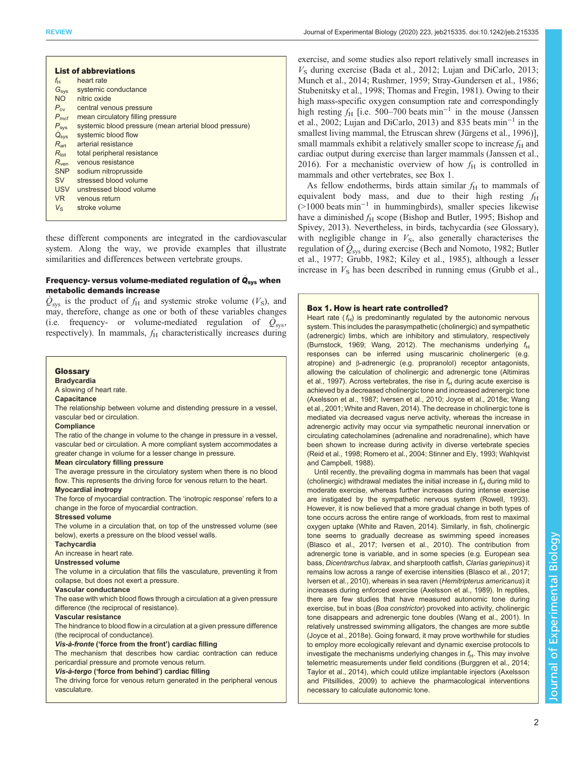<span id="page-1-0"></span>

| <b>List of abbreviations</b> |                                                        |
|------------------------------|--------------------------------------------------------|
| $f_{\rm H}$                  | heart rate                                             |
| G <sub>sys</sub>             | systemic conductance                                   |
| <b>NO</b>                    | nitric oxide                                           |
| $P_{\rm cv}$                 | central venous pressure                                |
| P <sub>mcf</sub>             | mean circulatory filling pressure                      |
| $P_{sys}$                    | systemic blood pressure (mean arterial blood pressure) |
| $\dot{Q}_{\rm sys}$          | systemic blood flow                                    |
| $R_{\rm art}$                | arterial resistance                                    |
| $R_{\rm tot}$                | total peripheral resistance                            |
| $R_{\rm ven}$                | venous resistance                                      |
| <b>SNP</b>                   | sodium nitroprusside                                   |
| <b>SV</b>                    | stressed blood volume                                  |
| <b>USV</b>                   | unstressed blood volume                                |
| <b>VR</b>                    | venous return                                          |
| $V_{\rm S}$                  | stroke volume                                          |

these different components are integrated in the cardiovascular system. Along the way, we provide examples that illustrate similarities and differences between vertebrate groups.

# Frequency- versus volume-mediated regulation of  $Q_{\rm sys}$  when metabolic demands increase

 $\dot{Q}_{\rm sys}$  is the product of  $f_{\rm H}$  and systemic stroke volume ( $V_{\rm S}$ ), and may, therefore, change as one or both of these variables changes (i.e. frequency- or volume-mediated regulation of  $Q_{\text{sys}}$ , respectively). In mammals,  $f_H$  characteristically increases during

## Glossary

**Bradycardia** A slowing of heart rate.

# **Capacitance**

The relationship between volume and distending pressure in a vessel, vascular bed or circulation.

#### **Compliance**

The ratio of the change in volume to the change in pressure in a vessel, vascular bed or circulation. A more compliant system accommodates a greater change in volume for a lesser change in pressure.

#### Mean circulatory filling pressure

The average pressure in the circulatory system when there is no blood flow. This represents the driving force for venous return to the heart.

# Myocardial inotropy

The force of myocardial contraction. The 'inotropic response' refers to a change in the force of myocardial contraction.

#### Stressed volume

The volume in a circulation that, on top of the unstressed volume (see below), exerts a pressure on the blood vessel walls.

## **Tachycardia**

An increase in heart rate.

Unstressed volume

The volume in a circulation that fills the vasculature, preventing it from collapse, but does not exert a pressure.

## Vascular conductance

The ease with which blood flows through a circulation at a given pressure difference (the reciprocal of resistance).

#### Vascular resistance

The hindrance to blood flow in a circulation at a given pressure difference (the reciprocal of conductance).

### Vis-à-fronte ('force from the front') cardiac filling

The mechanism that describes how cardiac contraction can reduce pericardial pressure and promote venous return.

## Vis-à-tergo ('force from behind') cardiac filling

The driving force for venous return generated in the peripheral venous vasculature.

exercise, and some studies also report relatively small increases in  $V<sub>S</sub>$  during exercise [\(Bada et al., 2012](#page-9-0); [Lujan and DiCarlo, 2013](#page-12-0); [Munch et al., 2014](#page-13-0); [Rushmer, 1959;](#page-13-0) [Stray-Gundersen et al., 1986](#page-14-0); [Stubenitsky et al., 1998](#page-14-0); [Thomas and Fregin, 1981\)](#page-14-0). Owing to their high mass-specific oxygen consumption rate and correspondingly high resting  $f_H$  [i.e. 500–700 beats min<sup>-1</sup> in the mouse [\(Janssen](#page-12-0) [et al., 2002; Lujan and DiCarlo, 2013\)](#page-12-0) and 835 beats min−<sup>1</sup> in the smallest living mammal, the Etruscan shrew ([Jürgens et al., 1996](#page-12-0))], small mammals exhibit a relatively smaller scope to increase  $f_H$  and cardiac output during exercise than larger mammals [\(Janssen et al.,](#page-12-0) [2016\)](#page-12-0). For a mechanistic overview of how  $f<sub>H</sub>$  is controlled in mammals and other vertebrates, see Box 1.

As fellow endotherms, birds attain similar  $f<sub>H</sub>$  to mammals of equivalent body mass, and due to their high resting  $f_H$ (>1000 beats min−<sup>1</sup> in hummingbirds), smaller species likewise have a diminished  $f_H$  scope ([Bishop and Butler, 1995](#page-9-0); [Bishop and](#page-9-0) [Spivey, 2013](#page-9-0)). Nevertheless, in birds, tachycardia (see Glossary), with negligible change in  $V<sub>S</sub>$ , also generally characterises the regulation of  $\dot{Q}_{sys}$  during exercise [\(Bech and Nomoto, 1982;](#page-9-0) [Butler](#page-10-0) [et al., 1977;](#page-10-0) [Grubb, 1982;](#page-11-0) [Kiley et al., 1985](#page-12-0)), although a lesser increase in  $V<sub>S</sub>$  has been described in running emus [\(Grubb et al.,](#page-11-0)

#### Box 1. How is heart rate controlled?

Heart rate  $(f_H)$  is predominantly regulated by the autonomic nervous system. This includes the parasympathetic (cholinergic) and sympathetic (adrenergic) limbs, which are inhibitory and stimulatory, respectively ([Burnstock, 1969](#page-10-0); [Wang, 2012](#page-14-0)). The mechanisms underlying  $f_H$ responses can be inferred using muscarinic cholinergeric (e.g. atropine) and β-adrenergic (e.g. propranolol) receptor antagonists, allowing the calculation of cholinergic and adrenergic tone [\(Altimiras](#page-9-0) [et al., 1997\)](#page-9-0). Across vertebrates, the rise in  $f_H$  during acute exercise is achieved by a decreased cholinergic tone and increased adrenergic tone ([Axelsson et al., 1987](#page-9-0); [Iversen et al., 2010; Joyce et al., 2018e;](#page-12-0) [Wang](#page-14-0) [et al., 2001](#page-14-0); [White and Raven, 2014](#page-14-0)). The decrease in cholinergic tone is mediated via decreased vagus nerve activity, whereas the increase in adrenergic activity may occur via sympathetic neuronal innervation or circulating catecholamines (adrenaline and noradrenaline), which have been shown to increase during activity in diverse vertebrate species ([Reid et al., 1998](#page-13-0); [Romero et al., 2004;](#page-13-0) [Stinner and Ely, 1993; Wahlqvist](#page-14-0) [and Campbell, 1988](#page-14-0)).

Until recently, the prevailing dogma in mammals has been that vagal (cholinergic) withdrawal mediates the initial increase in  $f_H$  during mild to moderate exercise, whereas further increases during intense exercise are instigated by the sympathetic nervous system ([Rowell, 1993](#page-13-0)). However, it is now believed that a more gradual change in both types of tone occurs across the entire range of workloads, from rest to maximal oxygen uptake [\(White and Raven, 2014\)](#page-14-0). Similarly, in fish, cholinergic tone seems to gradually decrease as swimming speed increases ([Blasco et al., 2017;](#page-9-0) [Iversen et al., 2010](#page-12-0)). The contribution from adrenergic tone is variable, and in some species (e.g. European sea bass, Dicentrarchus labrax, and sharptooth catfish, Clarias gariepinus) it remains low across a range of exercise intensities ([Blasco et al., 2017](#page-9-0); [Iversen et al., 2010](#page-12-0)), whereas in sea raven (Hemitripterus americanus) it increases during enforced exercise ([Axelsson et al., 1989](#page-9-0)). In reptiles, there are few studies that have measured autonomic tone during exercise, but in boas (Boa constrictor) provoked into activity, cholinergic tone disappears and adrenergic tone doubles [\(Wang et al., 2001\)](#page-14-0). In relatively unstressed swimming alligators, the changes are more subtle ([Joyce et al., 2018e\)](#page-12-0). Going forward, it may prove worthwhile for studies to employ more ecologically relevant and dynamic exercise protocols to investigate the mechanisms underlying changes in  $f_H$ . This may involve telemetric measurements under field conditions ([Burggren et al., 2014](#page-10-0); [Taylor et al., 2014](#page-14-0)), which could utilize implantable injectors [\(Axelsson](#page-9-0) [and Pitsillides, 2009](#page-9-0)) to achieve the pharmacological interventions necessary to calculate autonomic tone.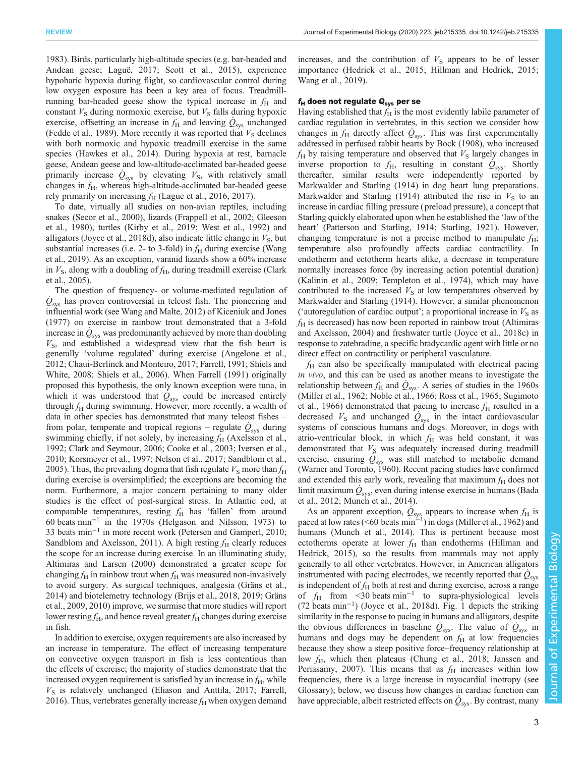[1983](#page-11-0)). Birds, particularly high-altitude species (e.g. bar-headed and Andean geese; [Laguë, 2017](#page-12-0); [Scott et al., 2015\)](#page-13-0), experience hypobaric hypoxia during flight, so cardiovascular control during low oxygen exposure has been a key area of focus. Treadmillrunning bar-headed geese show the typical increase in  $f<sub>H</sub>$  and constant  $V<sub>S</sub>$  during normoxic exercise, but  $V<sub>S</sub>$  falls during hypoxic exercise, offsetting an increase in  $f_H$  and leaving  $\dot{Q}_{\rm sys}$  unchanged [\(Fedde et al., 1989\)](#page-11-0). More recently it was reported that  $V<sub>S</sub>$  declines with both normoxic and hypoxic treadmill exercise in the same species [\(Hawkes et al., 2014](#page-11-0)). During hypoxia at rest, barnacle geese, Andean geese and low-altitude-acclimated bar-headed geese primarily increase  $\dot{Q}_{sys}$  by elevating  $V_s$ , with relatively small changes in  $f<sub>H</sub>$ , whereas high-altitude-acclimated bar-headed geese rely primarily on increasing  $f_H$  [\(Lague et al., 2016, 2017\)](#page-12-0).

To date, virtually all studies on non-avian reptiles, including snakes [\(Secor et al., 2000\)](#page-13-0), lizards [\(Frappell et al., 2002; Gleeson](#page-11-0) [et al., 1980](#page-11-0)), turtles [\(Kirby et al., 2019](#page-12-0); [West et al., 1992](#page-14-0)) and alligators [\(Joyce et al., 2018d](#page-12-0)), also indicate little change in  $V<sub>S</sub>$ , but substantial increases (i.e. 2- to 3-fold) in  $f<sub>H</sub>$  during exercise ([Wang](#page-14-0) [et al., 2019](#page-14-0)). As an exception, varanid lizards show a 60% increase in  $V<sub>S</sub>$ , along with a doubling of  $f<sub>H</sub>$ , during treadmill exercise [\(Clark](#page-10-0) [et al., 2005\)](#page-10-0).

The question of frequency- or volume-mediated regulation of  $\dot{Q}_{\rm sys}$  has proven controversial in teleost fish. The pioneering and influential work (see [Wang and Malte, 2012\)](#page-14-0) of [Kiceniuk and Jones](#page-12-0) [\(1977\)](#page-12-0) on exercise in rainbow trout demonstrated that a 3-fold increase in  $\dot{Q}_\text{sys}$  was predominantly achieved by more than doubling  $V<sub>S</sub>$ , and established a widespread view that the fish heart is generally 'volume regulated' during exercise ([Angelone et al.,](#page-9-0) [2012](#page-9-0); [Chaui-Berlinck and Monteiro, 2017;](#page-10-0) [Farrell, 1991](#page-11-0); [Shiels and](#page-13-0) [White, 2008; Shiels et al., 2006](#page-13-0)). When [Farrell \(1991\)](#page-11-0) originally proposed this hypothesis, the only known exception were tuna, in which it was understood that  $\dot{Q}_{sys}$  could be increased entirely through  $f_H$  during swimming. However, more recently, a wealth of data in other species has demonstrated that many teleost fishes – from polar, temperate and tropical regions – regulate  $\dot{Q}_{sys}$  during swimming chiefly, if not solely, by increasing  $f<sub>H</sub>$  ([Axelsson et al.,](#page-9-0) [1992](#page-9-0); [Clark and Seymour, 2006; Cooke et al., 2003](#page-10-0); [Iversen et al.,](#page-12-0) [2010](#page-12-0); [Korsmeyer et al., 1997;](#page-12-0) [Nelson et al., 2017; Sandblom et al.,](#page-13-0) [2005](#page-13-0)). Thus, the prevailing dogma that fish regulate  $V<sub>S</sub>$  more than  $f<sub>H</sub>$ during exercise is oversimplified; the exceptions are becoming the norm. Furthermore, a major concern pertaining to many older studies is the effect of post-surgical stress. In Atlantic cod, at comparable temperatures, resting  $f<sub>H</sub>$  has 'fallen' from around 60 beats min−<sup>1</sup> in the 1970s ([Helgason and Nilsson, 1973](#page-11-0)) to 33 beats min−<sup>1</sup> in more recent work ([Petersen and Gamperl, 2010](#page-13-0); [Sandblom and Axelsson, 2011\)](#page-13-0). A high resting  $f<sub>H</sub>$  clearly reduces the scope for an increase during exercise. In an illuminating study, [Altimiras and Larsen \(2000\)](#page-9-0) demonstrated a greater scope for changing  $f_H$  in rainbow trout when  $f_H$  was measured non-invasively to avoid surgery. As surgical techniques, analgesia [\(Gräns et al.,](#page-11-0) [2014](#page-11-0)) and biotelemetry technology ([Brijs et al., 2018, 2019;](#page-10-0) [Gräns](#page-11-0) [et al., 2009](#page-11-0), [2010](#page-11-0)) improve, we surmise that more studies will report lower resting  $f_H$ , and hence reveal greater  $f_H$  changes during exercise in fish.

In addition to exercise, oxygen requirements are also increased by an increase in temperature. The effect of increasing temperature on convective oxygen transport in fish is less contentious than the effects of exercise; the majority of studies demonstrate that the increased oxygen requirement is satisfied by an increase in  $f<sub>H</sub>$ , while  $V<sub>S</sub>$  is relatively unchanged ([Eliason and Anttila, 2017;](#page-10-0) [Farrell,](#page-11-0) [2016](#page-11-0)). Thus, vertebrates generally increase  $f_H$  when oxygen demand increases, and the contribution of  $V<sub>S</sub>$  appears to be of lesser importance [\(Hedrick et al., 2015; Hillman and Hedrick, 2015](#page-11-0); [Wang et al., 2019](#page-14-0)).

## $f_H$  does not regulate  $Q_{\rm sys}$  per se

Having established that  $f_H$  is the most evidently labile parameter of cardiac regulation in vertebrates, in this section we consider how changes in  $f_H$  directly affect  $\dot{Q}_{\text{sys}}$ . This was first experimentally addressed in perfused rabbit hearts by [Bock \(1908\),](#page-10-0) who increased  $f_H$  by raising temperature and observed that  $V_S$  largely changes in inverse proportion to  $f_H$ , resulting in constant  $\dot{Q}_{sys}$ . Shortly thereafter, similar results were independently reported by [Markwalder and Starling \(1914\)](#page-12-0) in dog heart–lung preparations. [Markwalder and Starling \(1914\)](#page-12-0) attributed the rise in  $V<sub>S</sub>$  to an increase in cardiac filling pressure ( preload pressure), a concept that Starling quickly elaborated upon when he established the 'law of the heart' [\(Patterson and Starling, 1914;](#page-13-0) [Starling, 1921\)](#page-14-0). However, changing temperature is not a precise method to manipulate  $f_H$ ; temperature also profoundly affects cardiac contractility. In endotherm and ectotherm hearts alike, a decrease in temperature normally increases force (by increasing action potential duration) [\(Kalinin et al., 2009;](#page-12-0) [Templeton et al., 1974\)](#page-14-0), which may have contributed to the increased  $V<sub>S</sub>$  at low temperatures observed by [Markwalder and Starling \(1914\).](#page-12-0) However, a similar phenomenon ('autoregulation of cardiac output'; a proportional increase in  $V<sub>S</sub>$  as  $f_H$  is decreased) has now been reported in rainbow trout ([Altimiras](#page-9-0) [and Axelsson, 2004](#page-9-0)) and freshwater turtle ([Joyce et al., 2018c\)](#page-12-0) in response to zatebradine, a specific bradycardic agent with little or no direct effect on contractility or peripheral vasculature.

 $f<sub>H</sub>$  can also be specifically manipulated with electrical pacing in vivo, and this can be used as another means to investigate the relationship between  $f_H$  and  $\dot{Q}_{\rm sys}$ . A series of studies in the 1960s [\(Miller et al., 1962; Noble et al., 1966; Ross et al., 1965](#page-13-0); [Sugimoto](#page-14-0) [et al., 1966\)](#page-14-0) demonstrated that pacing to increase  $f<sub>H</sub>$  resulted in a decreased  $V<sub>S</sub>$  and unchanged  $\dot{Q}_{sys}$  in the intact cardiovascular systems of conscious humans and dogs. Moreover, in dogs with atrio-ventricular block, in which  $f<sub>H</sub>$  was held constant, it was demonstrated that  $V<sub>S</sub>$  was adequately increased during treadmill exercise, ensuring  $\overline{\dot{Q}}_{\rm sys}$  was still matched to metabolic demand [\(Warner and Toronto, 1960](#page-14-0)). Recent pacing studies have confirmed and extended this early work, revealing that maximum  $f_H$  does not limit maximum  $\dot{Q}_{\rm sys}$ , even during intense exercise in humans ([Bada](#page-9-0) [et al., 2012;](#page-9-0) [Munch et al., 2014\)](#page-13-0).

As an apparent exception,  $\dot{Q}_{\text{sys}}$  appears to increase when  $f_{\text{H}}$  is paced at low rates (<60 beats min−<sup>1</sup> ) in dogs ([Miller et al., 1962\)](#page-13-0) and humans ([Munch et al., 2014\)](#page-13-0). This is pertinent because most ectotherms operate at lower  $f<sub>H</sub>$  than endotherms [\(Hillman and](#page-11-0) [Hedrick, 2015\)](#page-11-0), so the results from mammals may not apply generally to all other vertebrates. However, in American alligators instrumented with pacing electrodes, we recently reported that  $\dot{Q}_\text{sys}$ is independent of  $f_H$  both at rest and during exercise, across a range of  $f_H$  from <30 beats min<sup>-1</sup> to supra-physiological levels (72 beats min−<sup>1</sup> ) [\(Joyce et al., 2018d](#page-12-0)). [Fig. 1](#page-3-0) depicts the striking similarity in the response to pacing in humans and alligators, despite the obvious differences in baseline  $\dot{Q}_{\rm sys}$ . The value of  $\dot{Q}_{\rm sys}$  in humans and dogs may be dependent on  $f_H$  at low frequencies because they show a steep positive force–frequency relationship at low  $f_{\rm H}$ , which then plateaus ([Chung et al., 2018](#page-10-0); [Janssen and](#page-12-0) [Periasamy, 2007](#page-12-0)). This means that as  $f<sub>H</sub>$  increases within low frequencies, there is a large increase in myocardial inotropy (see Glossary); below, we discuss how changes in cardiac function can have appreciable, albeit restricted effects on  $\dot{Q}_\text{sys}$ . By contrast, many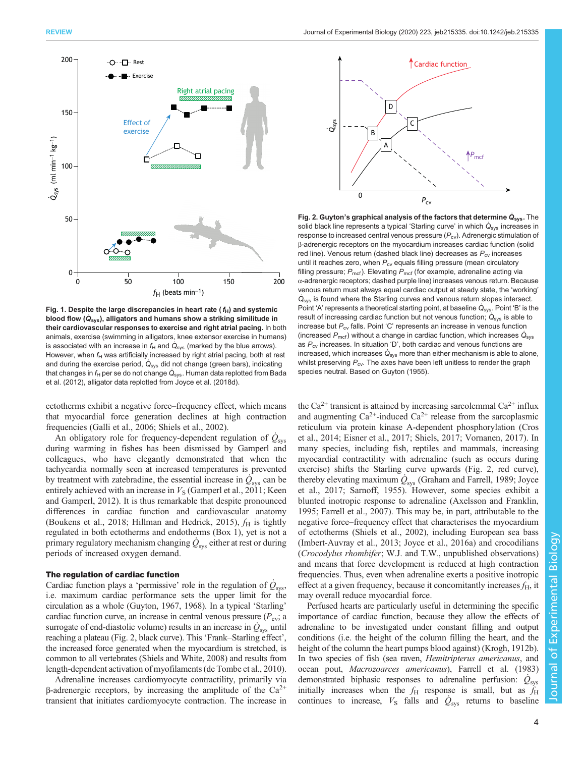<span id="page-3-0"></span>

Fig. 1. Despite the large discrepancies in heart rate (  $f_{\rm H}$ ) and systemic<br>blood flow (Q<sub>sys</sub>), alligators and humans show a striking similitude in<br>their cardiovascular responses to exercise and right atrial pacing. I their cardiovascular responses to exercise and right atrial pacing. In both animals, exercise (swimming in alligators, knee extensor exercise in humans) is associated with an increase in  $f_H$  and  $\dot{Q}_\text{sys}$  (marked by the blue arrows). However, when  $f_H$  was artificially increased by right atrial pacing, both at rest and during the exercise period,  $\dot{Q}_{\rm sys}$  did not change (green bars), indicating that changes in  $f_{\sf H}$  per se do not change  $\dot{\sf Q}_{\sf sys}$ . Human data replotted from [Bada](#page-9-0) [et al. \(2012\),](#page-9-0) alligator data replotted from [Joyce et al. \(2018d\)](#page-12-0).

ectotherms exhibit a negative force–frequency effect, which means that myocardial force generation declines at high contraction frequencies ([Galli et al., 2006;](#page-11-0) [Shiels et al., 2002](#page-13-0)).

An obligatory role for frequency-dependent regulation of  $\dot{Q}_{\rm sys}$ during warming in fishes has been dismissed by Gamperl and colleagues, who have elegantly demonstrated that when the tachycardia normally seen at increased temperatures is prevented by treatment with zatebradine, the essential increase in  $\hat{Q}_{sys}$  can be entirely achieved with an increase in  $V<sub>S</sub>$  [\(Gamperl et al., 2011;](#page-11-0) [Keen](#page-12-0) [and Gamperl, 2012](#page-12-0)). It is thus remarkable that despite pronounced differences in cardiac function and cardiovascular anatomy [\(Boukens et al., 2018](#page-10-0); [Hillman and Hedrick, 2015](#page-11-0)),  $f_H$  is tightly regulated in both ectotherms and endotherms ([Box 1](#page-1-0)), yet is not a primary regulatory mechanism changing  $\dot{Q}_\text{sys}$  either at rest or during periods of increased oxygen demand.

### The regulation of cardiac function

Cardiac function plays a 'permissive' role in the regulation of  $\dot{Q}_{{\rm sys}},$ i.e. maximum cardiac performance sets the upper limit for the circulation as a whole ([Guyton, 1967](#page-11-0), [1968](#page-11-0)). In a typical 'Starling' cardiac function curve, an increase in central venous pressure ( $P_{\rm cv}$ ; a surrogate of end-diastolic volume) results in an increase in  $\dot{Q}_\text{sys}$  until reaching a plateau (Fig. 2, black curve). This 'Frank–Starling effect', the increased force generated when the myocardium is stretched, is common to all vertebrates ([Shiels and White, 2008](#page-13-0)) and results from length-dependent activation of myofilaments [\(de Tombe et al., 2010\)](#page-10-0).

Adrenaline increases cardiomyocyte contractility, primarily via β-adrenergic receptors, by increasing the amplitude of the  $Ca<sup>2+</sup>$ transient that initiates cardiomyocyte contraction. The increase in



Fig. 2. Guyton's graphical analysis of the factors that determine  $\dot{Q}_{\rm sys}$ . The solid black line represents a typical 'Starling curve' in which  $\dot{Q}$  increases in solid black line represents a typical 'Starling curve' in which  $\dot{Q}_{\rm sys}$  increases in response to increased central venous pressure  $(P_{\text{cv}})$ . Adrenergic stimulation of β-adrenergic receptors on the myocardium increases cardiac function (solid red line). Venous return (dashed black line) decreases as  $P_{\text{cv}}$  increases until it reaches zero, when  $P_{cv}$  equals filling pressure (mean circulatory filling pressure;  $P_{\text{mcf}}$ ). Elevating  $P_{\text{mcf}}$  (for example, adrenaline acting via α-adrenergic receptors; dashed purple line) increases venous return. Because venous return must always equal cardiac output at steady state, the 'working'  $\dot{Q}_\text{sys}$  is found where the Starling curves and venous return slopes intersect. Point 'A' represents a theoretical starting point, at baseline  $\dot{Q}_{\rm sys}$ . Point 'B' is the result of increasing cardiac function but not venous function;  $\hat{Q}_{sys}$  is able to increase but  $P_{\text{cv}}$  falls. Point 'C' represents an increase in venous function (increased  $P_{\text{mcf}}$ ) without a change in cardiac function, which increases  $\dot{\mathsf{Q}}_{\text{sys}}$ as  $P_{\text{cv}}$  increases. In situation 'D', both cardiac and venous functions are increased, which increases  $\dot Q_{\rm sys}$  more than either mechanism is able to alone, whilst preserving  $P_{\text{cv}}$ . The axes have been left unitless to render the graph species neutral. Based on [Guyton \(1955\)](#page-11-0).

the Ca<sup>2+</sup> transient is attained by increasing sarcolemmal Ca<sup>2+</sup> influx and augmenting  $Ca^{2+}$ -induced  $Ca^{2+}$  release from the sarcoplasmic reticulum via protein kinase A-dependent phosphorylation [\(Cros](#page-10-0) [et al., 2014; Eisner et al., 2017](#page-10-0); [Shiels, 2017;](#page-13-0) [Vornanen, 2017](#page-14-0)). In many species, including fish, reptiles and mammals, increasing myocardial contractility with adrenaline (such as occurs during exercise) shifts the Starling curve upwards (Fig. 2, red curve), thereby elevating maximum  $\dot{Q}_\text{sys}$  ([Graham and Farrell, 1989;](#page-11-0) [Joyce](#page-12-0) [et al., 2017;](#page-12-0) [Sarnoff, 1955\)](#page-13-0). However, some species exhibit a blunted inotropic response to adrenaline ([Axelsson and Franklin,](#page-9-0) [1995;](#page-9-0) [Farrell et al., 2007](#page-11-0)). This may be, in part, attributable to the negative force–frequency effect that characterises the myocardium of ectotherms ([Shiels et al., 2002](#page-13-0)), including European sea bass [\(Imbert-Auvray et al., 2013](#page-11-0); [Joyce et al., 2016a](#page-12-0)) and crocodilians (Crocodylus rhombifer; W.J. and T.W., unpublished observations) and means that force development is reduced at high contraction frequencies. Thus, even when adrenaline exerts a positive inotropic effect at a given frequency, because it concomitantly increases  $f_H$ , it may overall reduce myocardial force.

Perfused hearts are particularly useful in determining the specific importance of cardiac function, because they allow the effects of adrenaline to be investigated under constant filling and output conditions (i.e. the height of the column filling the heart, and the height of the column the heart pumps blood against) [\(Krogh, 1912b\)](#page-12-0). In two species of fish (sea raven, Hemitripterus americanus, and ocean pout, Macrozoarces americanus), [Farrell et al. \(1983\)](#page-11-0) demonstrated biphasic responses to adrenaline perfusion:  $\dot{Q}_{\text{sys}}$ initially increases when the  $f_H$  response is small, but as  $f_H$ continues to increase,  $V<sub>S</sub>$  falls and  $\dot{Q}_{sys}$  returns to baseline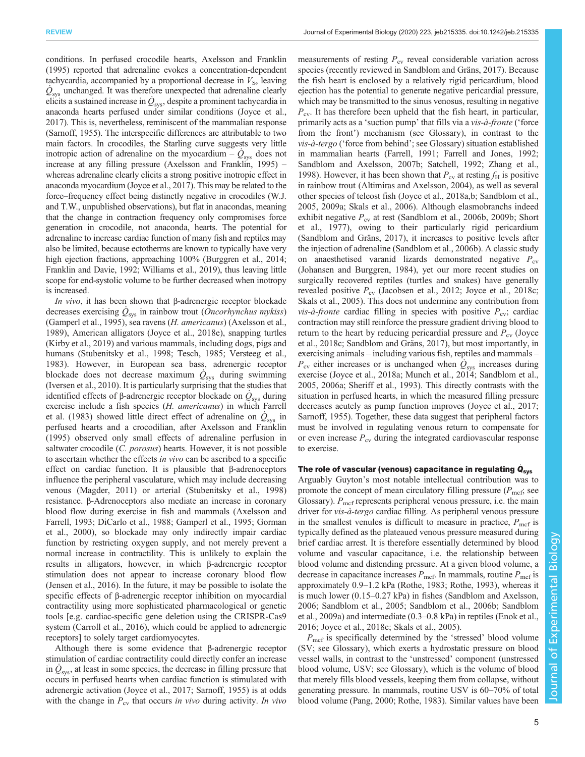conditions. In perfused crocodile hearts, [Axelsson and Franklin](#page-9-0) [\(1995\)](#page-9-0) reported that adrenaline evokes a concentration-dependent tachycardia, accompanied by a proportional decrease in  $V<sub>S</sub>$ , leaving  $\dot{Q}_{\rm sys}$  unchanged. It was therefore unexpected that adrenaline clearly elicits a sustained increase in  $\dot{Q}_{\rm sys}$ , despite a prominent tachycardia in anaconda hearts perfused under similar conditions ([Joyce et al.,](#page-12-0) [2017\)](#page-12-0). This is, nevertheless, reminiscent of the mammalian response [\(Sarnoff, 1955](#page-13-0)). The interspecific differences are attributable to two main factors. In crocodiles, the Starling curve suggests very little inotropic action of adrenaline on the myocardium –  $\dot{Q}_{sys}$  does not increase at any filling pressure [\(Axelsson and Franklin, 1995\)](#page-9-0) – whereas adrenaline clearly elicits a strong positive inotropic effect in anaconda myocardium [\(Joyce et al., 2017](#page-12-0)). This may be related to the force–frequency effect being distinctly negative in crocodiles (W.J. and T.W., unpublished observations), but flat in anacondas, meaning that the change in contraction frequency only compromises force generation in crocodile, not anaconda, hearts. The potential for adrenaline to increase cardiac function of many fish and reptiles may also be limited, because ectotherms are known to typically have very high ejection fractions, approaching  $100\%$  [\(Burggren et al., 2014](#page-10-0); [Franklin and Davie, 1992;](#page-11-0) [Williams et al., 2019](#page-14-0)), thus leaving little scope for end-systolic volume to be further decreased when inotropy is increased.

In vivo, it has been shown that β-adrenergic receptor blockade decreases exercising  $\dot{Q}_{\rm sys}$  in rainbow trout (*Oncorhynchus mykiss*) [\(Gamperl et al., 1995\)](#page-11-0), sea ravens (H. americanus) [\(Axelsson et al.,](#page-9-0) [1989](#page-9-0)), American alligators [\(Joyce et al., 2018e](#page-12-0)), snapping turtles [\(Kirby et al., 2019](#page-12-0)) and various mammals, including dogs, pigs and humans ([Stubenitsky et al., 1998; Tesch, 1985; Versteeg et al.,](#page-14-0) [1983](#page-14-0)). However, in European sea bass, adrenergic receptor blockade does not decrease maximum  $\dot{Q}_\text{sys}$  during swimming [\(Iversen et al., 2010\)](#page-12-0). It is particularly surprising that the studies that identified effects of  $\beta$ -adrenergic receptor blockade on  $\dot{Q}_s$ <sub>sys</sub> during exercise include a fish species (H. americanus) in which [Farrell](#page-11-0) [et al. \(1983\)](#page-11-0) showed little direct effect of adrenaline on  $\dot{Q}_{\rm sys}$  in perfused hearts and a crocodilian, after [Axelsson and Franklin](#page-9-0) [\(1995\)](#page-9-0) observed only small effects of adrenaline perfusion in saltwater crocodile (*C. porosus*) hearts. However, it is not possible to ascertain whether the effects in vivo can be ascribed to a specific effect on cardiac function. It is plausible that β-adrenoceptors influence the peripheral vasculature, which may include decreasing venous ([Magder, 2011](#page-12-0)) or arterial ([Stubenitsky et al., 1998\)](#page-14-0) resistance. β-Adrenoceptors also mediate an increase in coronary blood flow during exercise in fish and mammals [\(Axelsson and](#page-9-0) [Farrell, 1993;](#page-9-0) [DiCarlo et al., 1988;](#page-10-0) [Gamperl et al., 1995; Gorman](#page-11-0) [et al., 2000\)](#page-11-0), so blockade may only indirectly impair cardiac function by restricting oxygen supply, and not merely prevent a normal increase in contractility. This is unlikely to explain the results in alligators, however, in which β-adrenergic receptor stimulation does not appear to increase coronary blood flow [\(Jensen et al., 2016](#page-12-0)). In the future, it may be possible to isolate the specific effects of β-adrenergic receptor inhibition on myocardial contractility using more sophisticated pharmacological or genetic tools [e.g. cardiac-specific gene deletion using the CRISPR-Cas9 system [\(Carroll et al., 2016\)](#page-10-0), which could be applied to adrenergic receptors] to solely target cardiomyocytes.

Although there is some evidence that β-adrenergic receptor stimulation of cardiac contractility could directly confer an increase in  $\dot{Q}_\text{sys}$ , at least in some species, the decrease in filling pressure that occurs in perfused hearts when cardiac function is stimulated with adrenergic activation ([Joyce et al., 2017;](#page-12-0) [Sarnoff, 1955\)](#page-13-0) is at odds with the change in  $P_{cv}$  that occurs in vivo during activity. In vivo measurements of resting  $P_{\rm cv}$  reveal considerable variation across species (recently reviewed in [Sandblom and Gräns, 2017\)](#page-13-0). Because the fish heart is enclosed by a relatively rigid pericardium, blood ejection has the potential to generate negative pericardial pressure, which may be transmitted to the sinus venosus, resulting in negative  $P_{\rm cv}$ . It has therefore been upheld that the fish heart, in particular, primarily acts as a 'suction pump' that fills via a vis-à-fronte ('force from the front') mechanism (see Glossary), in contrast to the vis-à-tergo ('force from behind'; see Glossary) situation established in mammalian hearts [\(Farrell, 1991; Farrell and Jones, 1992](#page-11-0); [Sandblom and Axelsson, 2007b](#page-13-0); [Satchell, 1992](#page-13-0); [Zhang et al.,](#page-14-0) [1998\)](#page-14-0). However, it has been shown that  $P_{\text{cv}}$  at resting  $f_{\text{H}}$  is positive in rainbow trout [\(Altimiras and Axelsson, 2004](#page-9-0)), as well as several other species of teleost fish [\(Joyce et al., 2018a](#page-12-0),[b](#page-12-0); [Sandblom et al.,](#page-13-0) [2005, 2009a; Skals et al., 2006](#page-13-0)). Although elasmobranchs indeed exhibit negative  $P_{cy}$  at rest ([Sandblom et al., 2006b, 2009b](#page-13-0); [Short](#page-13-0) [et al., 1977\)](#page-13-0), owing to their particularly rigid pericardium [\(Sandblom and Gräns, 2017\)](#page-13-0), it increases to positive levels after the injection of adrenaline [\(Sandblom et al., 2006b](#page-13-0)). A classic study on anaesthetised varanid lizards demonstrated negative  $P_{\rm cv}$ [\(Johansen and Burggren, 1984\)](#page-12-0), yet our more recent studies on surgically recovered reptiles (turtles and snakes) have generally revealed positive  $P_{\rm cv}$  [\(Jacobsen et al., 2012](#page-12-0); [Joyce et al., 2018c](#page-12-0); [Skals et al., 2005](#page-13-0)). This does not undermine any contribution from *vis-à-fronte* cardiac filling in species with positive  $P_{\rm cv}$ ; cardiac contraction may still reinforce the pressure gradient driving blood to return to the heart by reducing pericardial pressure and  $P_{\rm cv}$  [\(Joyce](#page-12-0) [et al., 2018c;](#page-12-0) [Sandblom and Gräns, 2017\)](#page-13-0), but most importantly, in exercising animals – including various fish, reptiles and mammals –  $P_{\text{cv}}$  either increases or is unchanged when  $\hat{Q}_{\text{sys}}$  increases during exercise [\(Joyce et al., 2018a](#page-12-0); [Munch et al., 2014; Sandblom et al.,](#page-13-0) [2005, 2006a; Sheriff et al., 1993](#page-13-0)). This directly contrasts with the situation in perfused hearts, in which the measured filling pressure decreases acutely as pump function improves ([Joyce et al., 2017](#page-12-0); [Sarnoff, 1955](#page-13-0)). Together, these data suggest that peripheral factors must be involved in regulating venous return to compensate for or even increase  $P_{\rm cv}$  during the integrated cardiovascular response to exercise.

# The role of vascular (venous) capacitance in regulating  $Q_{sys}$

Arguably Guyton's most notable intellectual contribution was to promote the concept of mean circulatory filling pressure  $(P_{\text{mcf}};$  see Glossary).  $P_{\text{mcf}}$  represents peripheral venous pressure, i.e. the main driver for *vis-à-tergo* cardiac filling. As peripheral venous pressure in the smallest venules is difficult to measure in practice,  $P_{\text{mcf}}$  is typically defined as the plateaued venous pressure measured during brief cardiac arrest. It is therefore essentially determined by blood volume and vascular capacitance, i.e. the relationship between blood volume and distending pressure. At a given blood volume, a decrease in capacitance increases  $P_{\text{mcf}}$ . In mammals, routine  $P_{\text{mcf}}$  is approximately 0.9–1.2 kPa [\(Rothe, 1983; Rothe, 1993](#page-13-0)), whereas it is much lower (0.15–0.27 kPa) in fishes [\(Sandblom and Axelsson,](#page-13-0) [2006; Sandblom et al., 2005; Sandblom et al., 2006b; Sandblom](#page-13-0) [et al., 2009a\)](#page-13-0) and intermediate (0.3–0.8 kPa) in reptiles ([Enok et al.,](#page-11-0) [2016;](#page-11-0) [Joyce et al., 2018c](#page-12-0); [Skals et al., 2005](#page-13-0)).

 $P_{\text{mcf}}$  is specifically determined by the 'stressed' blood volume (SV; see Glossary), which exerts a hydrostatic pressure on blood vessel walls, in contrast to the 'unstressed' component (unstressed blood volume, USV; see Glossary), which is the volume of blood that merely fills blood vessels, keeping them from collapse, without generating pressure. In mammals, routine USV is 60–70% of total blood volume [\(Pang, 2000; Rothe, 1983\)](#page-13-0). Similar values have been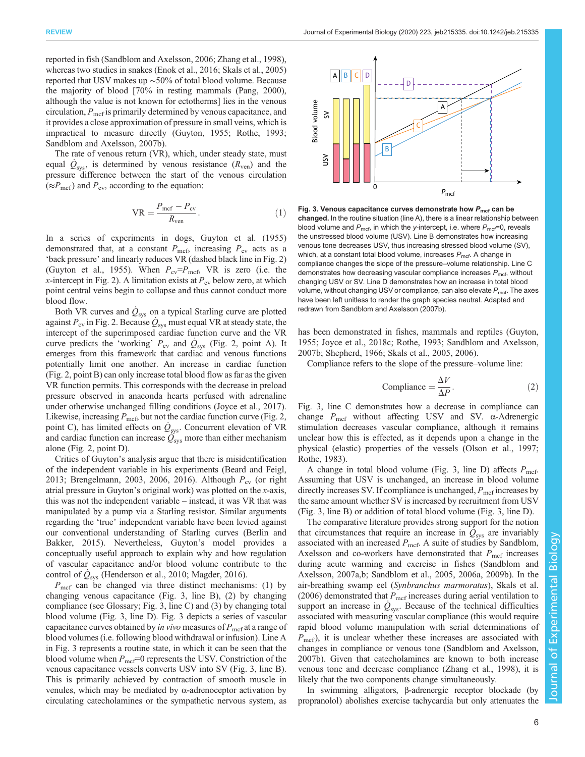reported in fish [\(Sandblom and Axelsson, 2006](#page-13-0); [Zhang et al., 1998\)](#page-14-0), whereas two studies in snakes ([Enok et al., 2016](#page-11-0); [Skals et al., 2005\)](#page-13-0) reported that USV makes up ∼50% of total blood volume. Because the majority of blood [70% in resting mammals ([Pang, 2000\)](#page-13-0), although the value is not known for ectotherms] lies in the venous circulation,  $P_{\text{mcf}}$  is primarily determined by venous capacitance, and it provides a close approximation of pressure in small veins, which is impractical to measure directly [\(Guyton, 1955](#page-11-0); [Rothe, 1993](#page-13-0); [Sandblom and Axelsson, 2007b](#page-13-0)).

The rate of venous return (VR), which, under steady state, must equal  $\dot{Q}_{\text{sys}}$ , is determined by venous resistance  $(R_{\text{ven}})$  and the pressure difference between the start of the venous circulation  $(\approx P_{\rm mcf})$  and  $P_{\rm cv}$ , according to the equation:

$$
VR = \frac{P_{\text{mcf}} - P_{\text{cv}}}{R_{\text{ven}}}.\tag{1}
$$

In a series of experiments in dogs, [Guyton et al. \(1955\)](#page-11-0) demonstrated that, at a constant  $P_{\text{mcf}}$ , increasing  $P_{\text{cv}}$  acts as a 'back pressure' and linearly reduces VR (dashed black line in [Fig. 2\)](#page-3-0) [\(Guyton et al., 1955\)](#page-11-0). When  $P_{\text{cv}}=P_{\text{mcf}}$ , VR is zero (i.e. the x-intercept in [Fig. 2](#page-3-0)). A limitation exists at  $P_{\text{cv}}$  below zero, at which point central veins begin to collapse and thus cannot conduct more blood flow.

Both VR curves and  $\dot{Q}_\text{sys}$  on a typical Starling curve are plotted against  $P_{\text{cv}}$  in [Fig. 2](#page-3-0). Because  $\dot{Q}_{\text{sys}}$  must equal VR at steady state, the intercept of the superimposed cardiac function curve and the VR curve predicts the 'working'  $P_{\text{cv}}$  and  $\dot{Q}_{\text{sys}}$  ([Fig. 2](#page-3-0), point A). It emerges from this framework that cardiac and venous functions potentially limit one another. An increase in cardiac function [\(Fig. 2,](#page-3-0) point B) can only increase total blood flow as far as the given VR function permits. This corresponds with the decrease in preload pressure observed in anaconda hearts perfused with adrenaline under otherwise unchanged filling conditions ([Joyce et al., 2017\)](#page-12-0). Likewise, increasing  $P_{\text{mcf}}$ , but not the cardiac function curve [\(Fig. 2,](#page-3-0) point C), has limited effects on  $\dot{Q}_{\rm sys}$ . Concurrent elevation of VR and cardiac function can increase  $Q_{\rm sys}$  more than either mechanism alone [\(Fig. 2,](#page-3-0) point D).

Critics of Guyton's analysis argue that there is misidentification of the independent variable in his experiments [\(Beard and Feigl,](#page-9-0) [2013](#page-9-0); [Brengelmann, 2003, 2006, 2016](#page-10-0)). Although  $P_{\rm cv}$  (or right atrial pressure in Guyton's original work) was plotted on the  $x$ -axis, this was not the independent variable – instead, it was VR that was manipulated by a pump via a Starling resistor. Similar arguments regarding the 'true' independent variable have been levied against our conventional understanding of Starling curves ([Berlin and](#page-9-0) [Bakker, 2015](#page-9-0)). Nevertheless, Guyton's model provides a conceptually useful approach to explain why and how regulation of vascular capacitance and/or blood volume contribute to the control of  $\dot{Q}_{\rm sys}$  [\(Henderson et al., 2010](#page-11-0); [Magder, 2016\)](#page-12-0).

 $P_{\text{mcf}}$  can be changed via three distinct mechanisms: (1) by changing venous capacitance (Fig. 3, line B), (2) by changing compliance (see Glossary; Fig. 3, line C) and (3) by changing total blood volume (Fig. 3, line D). Fig. 3 depicts a series of vascular capacitance curves obtained by in vivo measures of  $P_{\text{mcf}}$  at a range of blood volumes (i.e. following blood withdrawal or infusion). Line A in Fig. 3 represents a routine state, in which it can be seen that the blood volume when  $P_{\text{mcf}}$ =0 represents the USV. Constriction of the venous capacitance vessels converts USV into SV (Fig. 3, line B). This is primarily achieved by contraction of smooth muscle in venules, which may be mediated by α-adrenoceptor activation by circulating catecholamines or the sympathetic nervous system, as



Fig. 3. Venous capacitance curves demonstrate how  $P_{\text{mcf}}$  can be changed. In the routine situation (line A), there is a linear relationship between blood volume and  $P_{\text{mcf}}$ , in which the y-intercept, i.e. where  $P_{\text{mcf}}=0$ , reveals the unstressed blood volume (USV). Line B demonstrates how increasing venous tone decreases USV, thus increasing stressed blood volume (SV), which, at a constant total blood volume, increases  $P_{\text{mcf}}$ . A change in compliance changes the slope of the pressure–volume relationship. Line C demonstrates how decreasing vascular compliance increases  $P_{\text{mcf}}$ , without changing USV or SV. Line D demonstrates how an increase in total blood volume, without changing USV or compliance, can also elevate  $P_{\text{mcf}}$ . The axes have been left unitless to render the graph species neutral. Adapted and redrawn from [Sandblom and Axelsson \(2007b\)](#page-13-0).

has been demonstrated in fishes, mammals and reptiles [\(Guyton,](#page-11-0) [1955;](#page-11-0) [Joyce et al., 2018c](#page-12-0); [Rothe, 1993](#page-13-0); [Sandblom and Axelsson,](#page-13-0) [2007b; Shepherd, 1966; Skals et al., 2005, 2006\)](#page-13-0).

Compliance refers to the slope of the pressure–volume line:

$$
Compliance = \frac{\Delta V}{\Delta P}.
$$
 (2)

Fig. 3, line C demonstrates how a decrease in compliance can change  $P_{\text{mcf}}$  without affecting USV and SV.  $\alpha$ -Adrenergic stimulation decreases vascular compliance, although it remains unclear how this is effected, as it depends upon a change in the physical (elastic) properties of the vessels [\(Olson et al., 1997](#page-13-0); [Rothe, 1983](#page-13-0)).

A change in total blood volume (Fig. 3, line D) affects  $P_{\text{mcf}}$ . Assuming that USV is unchanged, an increase in blood volume directly increases SV. If compliance is unchanged,  $P_{\text{mcf}}$  increases by the same amount whether SV is increased by recruitment from USV (Fig. 3, line B) or addition of total blood volume (Fig. 3, line D).

The comparative literature provides strong support for the notion that circumstances that require an increase in  $\hat{Q}_{sys}$  are invariably associated with an increased  $P_{\text{mcf}}$ . A suite of studies by Sandblom, Axelsson and co-workers have demonstrated that  $P_{\text{mcf}}$  increases during acute warming and exercise in fishes [\(Sandblom and](#page-13-0) [Axelsson, 2007a,b](#page-13-0); [Sandblom et al., 2005](#page-13-0), [2006a](#page-13-0), [2009b\)](#page-13-0). In the air-breathing swamp eel (Synbranchus marmoratus), [Skals et al.](#page-13-0) [\(2006\)](#page-13-0) demonstrated that  $P_{\text{mcf}}$  increases during aerial ventilation to support an increase in  $\dot{Q}_{\rm sys}$ . Because of the technical difficulties associated with measuring vascular compliance (this would require rapid blood volume manipulation with serial determinations of  $P<sub>mcf</sub>$ ), it is unclear whether these increases are associated with changes in compliance or venous tone [\(Sandblom and Axelsson,](#page-13-0) [2007b\)](#page-13-0). Given that catecholamines are known to both increase venous tone and decrease compliance [\(Zhang et al., 1998](#page-14-0)), it is likely that the two components change simultaneously.

In swimming alligators, β-adrenergic receptor blockade (by propranolol) abolishes exercise tachycardia but only attenuates the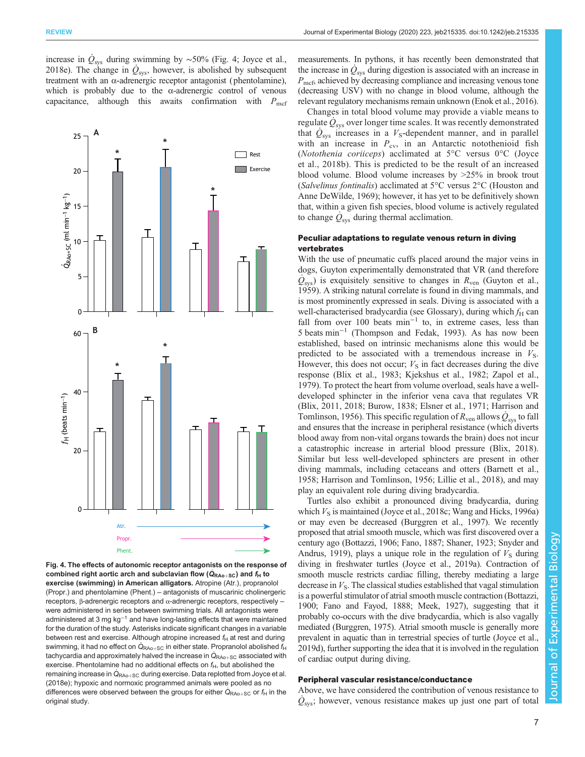increase in  $\dot{Q}_{sys}$  during swimming by ~50% (Fig. 4; [Joyce et al.,](#page-12-0) [2018e\)](#page-12-0). The change in  $\dot{Q}_{\rm sys}$ , however, is abolished by subsequent treatment with an α-adrenergic receptor antagonist (phentolamine), which is probably due to the  $\alpha$ -adrenergic control of venous capacitance, although this awaits confirmation with  $P_{\text{mcf}}$ 



Fig. 4. The effects of autonomic receptor antagonists on the response of combined right aortic arch and subclavian flow  $(Q_{RA0+SC})$  and  $f_H$  to exercise (swimming) in American alligators, Atropine (Atr.), proprate exercise (swimming) in American alligators. Atropine (Atr.), propranolol (Propr.) and phentolamine (Phent.) – antagonists of muscarinic cholinergeric receptors, β-adrenergic receptors and α-adrenergic receptors, respectively – were administered in series between swimming trials. All antagonists were administered at 3 mg kg−<sup>1</sup> and have long-lasting effects that were maintained for the duration of the study. Asterisks indicate significant changes in a variable between rest and exercise. Although atropine increased  $f_H$  at rest and during swimming, it had no effect on  $\dot{\mathsf{Q}}_\mathsf{RAo+SC}$  in either state. Propranolol abolished  $f_\mathsf{H}$ tachycardia and approximately halved the increase in  $\dot{\mathsf{Q}}_\mathsf{RAo+SC}$  associated with exercise. Phentolamine had no additional effects on  $f_H$ , but abolished the remaining increase in  $\dot{\mathsf{Q}}_\textsf{RAo+SC}$  during exercise. Data replotted from [Joyce et al.](#page-12-0) [\(2018e\);](#page-12-0) hypoxic and normoxic programmed animals were pooled as no differences were observed between the groups for either  $\dot{\mathsf{Q}}_{\mathsf{RAo+SC}}$  or  $f_{\mathsf{H}}$  in the original study.

measurements. In pythons, it has recently been demonstrated that the increase in  $\dot{Q}_{\rm sys}$  during digestion is associated with an increase in  $P<sub>mcf</sub>$ , achieved by decreasing compliance and increasing venous tone (decreasing USV) with no change in blood volume, although the relevant regulatory mechanisms remain unknown [\(Enok et al., 2016\)](#page-11-0).

Changes in total blood volume may provide a viable means to regulate  $\tilde{Q}_{sys}$  over longer time scales. It was recently demonstrated that  $\dot{Q}_{sys}$  increases in a  $V_S$ -dependent manner, and in parallel with an increase in  $P_{\rm cv}$ , in an Antarctic notothenioid fish (Notothenia coriiceps) acclimated at 5°C versus 0°C ([Joyce](#page-12-0) [et al., 2018b](#page-12-0)). This is predicted to be the result of an increased blood volume. Blood volume increases by >25% in brook trout (Salvelinus fontinalis) acclimated at 5°C versus 2°C ([Houston and](#page-11-0) [Anne DeWilde, 1969](#page-11-0)); however, it has yet to be definitively shown that, within a given fish species, blood volume is actively regulated to change  $\dot{Q}_{\text{sys}}$  during thermal acclimation.

# Peculiar adaptations to regulate venous return in diving vertebrates

With the use of pneumatic cuffs placed around the major veins in dogs, Guyton experimentally demonstrated that VR (and therefore  $\dot{Q}_{\text{sys}}$ ) is exquisitely sensitive to changes in  $R_{\text{ven}}$  ([Guyton et al.,](#page-11-0) [1959\)](#page-11-0). A striking natural correlate is found in diving mammals, and is most prominently expressed in seals. Diving is associated with a well-characterised bradycardia (see Glossary), during which  $f_H$  can fall from over 100 beats min−<sup>1</sup> to, in extreme cases, less than 5 beats min−<sup>1</sup> [\(Thompson and Fedak, 1993](#page-14-0)). As has now been established, based on intrinsic mechanisms alone this would be predicted to be associated with a tremendous increase in  $V<sub>S</sub>$ . However, this does not occur;  $V<sub>S</sub>$  in fact decreases during the dive response ([Blix et al., 1983;](#page-10-0) [Kjekshus et al., 1982;](#page-12-0) [Zapol et al.,](#page-14-0) [1979\)](#page-14-0). To protect the heart from volume overload, seals have a welldeveloped sphincter in the inferior vena cava that regulates VR [\(Blix, 2011, 2018; Burow, 1838](#page-10-0); [Elsner et al., 1971](#page-10-0); [Harrison and](#page-11-0) [Tomlinson, 1956\)](#page-11-0). This specific regulation of  $R_{\rm ven}$  allows  $\dot{Q}_{\rm sys}$  to fall and ensures that the increase in peripheral resistance (which diverts blood away from non-vital organs towards the brain) does not incur a catastrophic increase in arterial blood pressure ([Blix, 2018\)](#page-10-0). Similar but less well-developed sphincters are present in other diving mammals, including cetaceans and otters ([Barnett et al.,](#page-9-0) [1958;](#page-9-0) [Harrison and Tomlinson, 1956;](#page-11-0) [Lillie et al., 2018\)](#page-12-0), and may play an equivalent role during diving bradycardia.

Turtles also exhibit a pronounced diving bradycardia, during which  $V<sub>S</sub>$  is maintained ([Joyce et al., 2018c](#page-12-0); [Wang and Hicks, 1996a\)](#page-14-0) or may even be decreased [\(Burggren et al., 1997\)](#page-10-0). We recently proposed that atrial smooth muscle, which was first discovered over a century ago [\(Bottazzi, 1906](#page-10-0); [Fano, 1887](#page-11-0); [Shaner, 1923;](#page-13-0) [Snyder and](#page-14-0) [Andrus, 1919\)](#page-14-0), plays a unique role in the regulation of  $V<sub>S</sub>$  during diving in freshwater turtles [\(Joyce et al., 2019a](#page-12-0)). Contraction of smooth muscle restricts cardiac filling, thereby mediating a large decrease in  $V<sub>S</sub>$ . The classical studies established that vagal stimulation is a powerful stimulator of atrial smooth muscle contraction [\(Bottazzi,](#page-10-0) [1900;](#page-10-0) [Fano and Fayod, 1888;](#page-11-0) [Meek, 1927\)](#page-13-0), suggesting that it probably co-occurs with the dive bradycardia, which is also vagally mediated [\(Burggren, 1975](#page-10-0)). Atrial smooth muscle is generally more prevalent in aquatic than in terrestrial species of turtle [\(Joyce et al.,](#page-12-0) [2019d](#page-12-0)), further supporting the idea that it is involved in the regulation of cardiac output during diving.

# Peripheral vascular resistance/conductance

Above, we have considered the contribution of venous resistance to  $\dot{Q}_\text{sys}$ ; however, venous resistance makes up just one part of total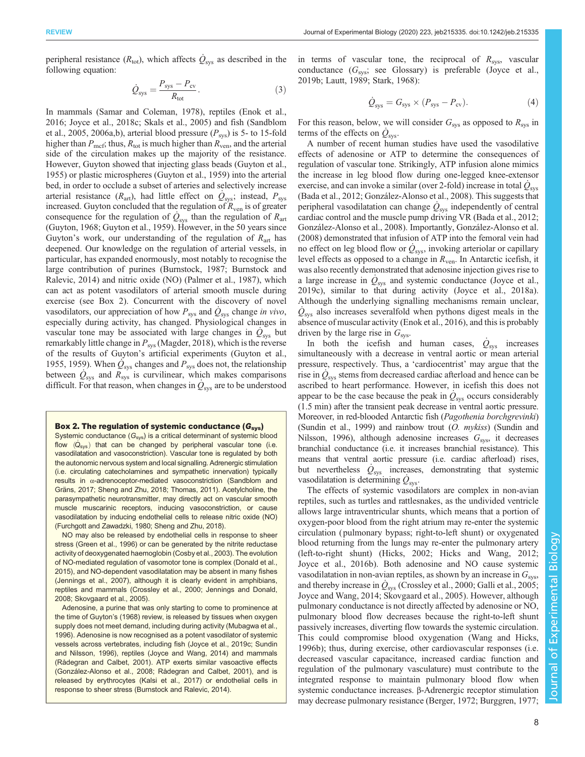peripheral resistance ( $R_{\text{tot}}$ ), which affects  $\dot{Q}_{\text{sys}}$  as described in the following equation:

$$
\dot{Q}_{\rm sys} = \frac{P_{\rm sys} - P_{\rm cv}}{R_{\rm tot}}.\tag{3}
$$

In mammals ([Samar and Coleman, 1978](#page-13-0)), reptiles ([Enok et al.,](#page-11-0) [2016](#page-11-0); [Joyce et al., 2018c](#page-12-0); [Skals et al., 2005](#page-13-0)) and fish ([Sandblom](#page-13-0) [et al., 2005](#page-13-0), [2006a](#page-13-0),[b\)](#page-13-0), arterial blood pressure  $(P_{\text{sys}})$  is 5- to 15-fold higher than  $P_{\text{mcf}}$ ; thus,  $R_{\text{tot}}$  is much higher than  $R_{\text{ven}}$ , and the arterial side of the circulation makes up the majority of the resistance. However, Guyton showed that injecting glass beads [\(Guyton et al.,](#page-11-0) [1955](#page-11-0)) or plastic microspheres ([Guyton et al., 1959](#page-11-0)) into the arterial bed, in order to occlude a subset of arteries and selectively increase arterial resistance ( $R_{\text{art}}$ ), had little effect on  $\dot{Q}_{\text{sys}}$ ; instead,  $P_{\text{sys}}$ increased. Guyton concluded that the regulation of  $R_{\text{ven}}$  is of greater consequence for the regulation of  $\dot{Q}_{sys}$  than the regulation of  $R_{art}$ [\(Guyton, 1968; Guyton et al., 1959\)](#page-11-0). However, in the 50 years since Guyton's work, our understanding of the regulation of  $R_{\text{art}}$  has deepened. Our knowledge on the regulation of arterial vessels, in particular, has expanded enormously, most notably to recognise the large contribution of purines ([Burnstock, 1987; Burnstock and](#page-10-0) [Ralevic, 2014](#page-10-0)) and nitric oxide (NO) [\(Palmer et al., 1987](#page-13-0)), which can act as potent vasodilators of arterial smooth muscle during exercise (see Box 2). Concurrent with the discovery of novel vasodilators, our appreciation of how  $P_{\rm sys}$  and  $\dot{Q}_{\rm sys}$  change in vivo, especially during activity, has changed. Physiological changes in vascular tone may be associated with large changes in  $\dot{Q}_{sys}$  but remarkably little change in  $P_{\rm sys}$  ([Magder, 2018](#page-12-0)), which is the reverse of the results of Guyton's artificial experiments ([Guyton et al.,](#page-11-0) [1955](#page-11-0), [1959\)](#page-11-0). When  $\dot{Q}_{sys}$  changes and  $P_{sys}$  does not, the relationship between  $\dot{Q}_{\rm sys}$  and  $R_{\rm sys}$  is curvilinear, which makes comparisons difficult. For that reason, when changes in  $\dot{Q}_{sys}$  are to be understood

## Box 2. The regulation of systemic conductance  $(G_{sys})$

Systemic conductance  $(G_{sys})$  is a critical determinant of systemic blood flow  $(\dot{Q}_{\rm sys})$  that can be changed by peripheral vascular tone (i.e. vasodilatation and vasoconstriction). Vascular tone is regulated by both the autonomic nervous system and local signalling. Adrenergic stimulation (i.e. circulating catecholamines and sympathetic innervation) typically results in α-adrenoceptor-mediated vasoconstriction [\(Sandblom and](#page-13-0) [Gräns, 2017](#page-13-0); [Sheng and Zhu, 2018](#page-13-0); [Thomas, 2011](#page-14-0)). Acetylcholine, the parasympathetic neurotransmitter, may directly act on vascular smooth muscle muscarinic receptors, inducing vasoconstriction, or cause vasodilatation by inducing endothelial cells to release nitric oxide (NO) ([Furchgott and Zawadzki, 1980;](#page-11-0) [Sheng and Zhu, 2018](#page-13-0)).

NO may also be released by endothelial cells in response to sheer stress ([Green et al., 1996\)](#page-11-0) or can be generated by the nitrite reductase activity of deoxygenated haemoglobin [\(Cosby et al., 2003\)](#page-10-0). The evolution of NO-mediated regulation of vasomotor tone is complex ([Donald et al.,](#page-10-0) [2015](#page-10-0)), and NO-dependent vasodilatation may be absent in many fishes ([Jennings et al., 2007\)](#page-12-0), although it is clearly evident in amphibians, reptiles and mammals ([Crossley et al., 2000](#page-10-0); [Jennings and Donald,](#page-12-0) [2008](#page-12-0); [Skovgaard et al., 2005](#page-14-0)).

Adenosine, a purine that was only starting to come to prominence at the time of Guyton'[s \(1968\)](#page-11-0) review, is released by tissues when oxygen supply does not meet demand, including during activity [\(Mubagwa et al.,](#page-13-0) [1996](#page-13-0)). Adenosine is now recognised as a potent vasodilator of systemic vessels across vertebrates, including fish ([Joyce et al., 2019c;](#page-12-0) [Sundin](#page-14-0) [and Nilsson, 1996\)](#page-14-0), reptiles ([Joyce and Wang, 2014\)](#page-12-0) and mammals ([Rådegran and Calbet, 2001\)](#page-13-0). ATP exerts similar vasoactive effects ([González-Alonso et al., 2008;](#page-11-0) [Rådegran and Calbet, 2001](#page-13-0)), and is released by erythrocytes [\(Kalsi et al., 2017](#page-12-0)) or endothelial cells in response to sheer stress [\(Burnstock and Ralevic, 2014\)](#page-10-0).

in terms of vascular tone, the reciprocal of  $R_{\rm sys}$ , vascular conductance  $(G_{sys};$  see Glossary) is preferable [\(Joyce et al.,](#page-12-0) [2019b; Lautt, 1989;](#page-12-0) [Stark, 1968\)](#page-14-0):

$$
\dot{Q}_{\rm sys} = G_{\rm sys} \times (P_{\rm sys} - P_{\rm cv}).\tag{4}
$$

For this reason, below, we will consider  $G_{\text{sys}}$  as opposed to  $R_{\text{sys}}$  in terms of the effects on  $\dot{Q}_{\rm sys}$ .

A number of recent human studies have used the vasodilative effects of adenosine or ATP to determine the consequences of regulation of vascular tone. Strikingly, ATP infusion alone mimics the increase in leg blood flow during one-legged knee-extensor exercise, and can invoke a similar (over 2-fold) increase in total  $\dot{Q}_\text{sys}$ [\(Bada et al., 2012](#page-9-0); [González-Alonso et al., 2008\)](#page-11-0). This suggests that peripheral vasodilatation can change  $\dot{Q}_\text{sys}$  independently of central cardiac control and the muscle pump driving VR ([Bada et al., 2012](#page-9-0); [González-Alonso et al., 2008\)](#page-11-0). Importantly, [González-Alonso et al.](#page-11-0) [\(2008\)](#page-11-0) demonstrated that infusion of ATP into the femoral vein had no effect on leg blood flow or  $\dot{Q}_\text{sys}$ , invoking arteriolar or capillary level effects as opposed to a change in  $R_{\text{ven}}$ . In Antarctic icefish, it was also recently demonstrated that adenosine injection gives rise to a large increase in  $\dot{Q}_{\rm sys}$  and systemic conductance [\(Joyce et al.,](#page-12-0) [2019c](#page-12-0)), similar to that during activity [\(Joyce et al., 2018a\)](#page-12-0). Although the underlying signalling mechanisms remain unclear,  $\dot{Q}_\text{sys}$  also increases severalfold when pythons digest meals in the absence of muscular activity [\(Enok et al., 2016\)](#page-11-0), and this is probably driven by the large rise in  $G_{\text{sys}}$ .

In both the icefish and human cases,  $\dot{Q}_{\rm sys}$  increases simultaneously with a decrease in ventral aortic or mean arterial pressure, respectively. Thus, a 'cardiocentrist' may argue that the rise in  $\dot{Q}_\text{sys}$  stems from decreased cardiac afterload and hence can be ascribed to heart performance. However, in icefish this does not appear to be the case because the peak in  $\dot{Q}_{sys}$  occurs considerably (1.5 min) after the transient peak decrease in ventral aortic pressure. Moreover, in red-blooded Antarctic fish (Pagothenia borchgrevinki) [\(Sundin et al., 1999\)](#page-14-0) and rainbow trout (O. mykiss) [\(Sundin and](#page-14-0) [Nilsson, 1996](#page-14-0)), although adenosine increases  $G_{\text{sys}}$ , it decreases branchial conductance (i.e. it increases branchial resistance). This means that ventral aortic pressure (i.e. cardiac afterload) rises, but nevertheless  $\dot{Q}_{sys}$  increases, demonstrating that systemic vasodilatation is determining  $\dot{Q}_{\rm sys}$ .

The effects of systemic vasodilators are complex in non-avian reptiles, such as turtles and rattlesnakes, as the undivided ventricle allows large intraventricular shunts, which means that a portion of oxygen-poor blood from the right atrium may re-enter the systemic circulation ( pulmonary bypass; right-to-left shunt) or oxygenated blood returning from the lungs may re-enter the pulmonary artery (left-to-right shunt) ([Hicks, 2002; Hicks and Wang, 2012](#page-11-0); [Joyce et al., 2016b\)](#page-12-0). Both adenosine and NO cause systemic vasodilatation in non-avian reptiles, as shown by an increase in  $G_{\rm sys}$ , and thereby increase in  $\dot{Q}_\text{sys}$  ([Crossley et al., 2000](#page-10-0); [Galli et al., 2005](#page-11-0); [Joyce and Wang, 2014;](#page-12-0) [Skovgaard et al., 2005\)](#page-14-0). However, although pulmonary conductance is not directly affected by adenosine or NO, pulmonary blood flow decreases because the right-to-left shunt passively increases, diverting flow towards the systemic circulation. This could compromise blood oxygenation [\(Wang and Hicks,](#page-14-0) [1996b\)](#page-14-0); thus, during exercise, other cardiovascular responses (i.e. decreased vascular capacitance, increased cardiac function and regulation of the pulmonary vasculature) must contribute to the integrated response to maintain pulmonary blood flow when systemic conductance increases. β-Adrenergic receptor stimulation may decrease pulmonary resistance ([Berger, 1972;](#page-9-0) [Burggren, 1977](#page-10-0);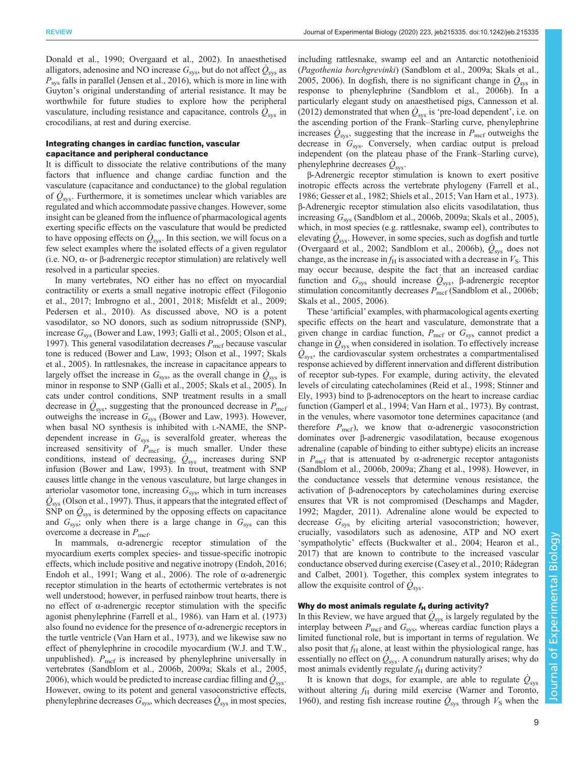[Donald et al., 1990;](#page-10-0) [Overgaard et al., 2002\)](#page-13-0). In anaesthetised alligators, adenosine and NO increase  $G_{\rm sys}$ , but do not affect  $\dot{Q}_{\rm sys}$  as  $P_{\text{sys}}$  falls in parallel ([Jensen et al., 2016\)](#page-12-0), which is more in line with Guyton's original understanding of arterial resistance. It may be worthwhile for future studies to explore how the peripheral vasculature, including resistance and capacitance, controls  $\dot{Q}_{\rm sys}$  in crocodilians, at rest and during exercise.

## Integrating changes in cardiac function, vascular capacitance and peripheral conductance

It is difficult to dissociate the relative contributions of the many factors that influence and change cardiac function and the vasculature (capacitance and conductance) to the global regulation of  $\dot{Q}_{\rm sys}$ . Furthermore, it is sometimes unclear which variables are regulated and which accommodate passive changes. However, some insight can be gleaned from the influence of pharmacological agents exerting specific effects on the vasculature that would be predicted to have opposing effects on  $\dot{Q}_{\text{sys}}$ . In this section, we will focus on a few select examples where the isolated effects of a given regulator (i.e. NO, α- or β-adrenergic receptor stimulation) are relatively well resolved in a particular species.

In many vertebrates, NO either has no effect on myocardial contractility or exerts a small negative inotropic effect [\(Filogonio](#page-11-0) [et al., 2017;](#page-11-0) [Imbrogno et al., 2001](#page-12-0), [2018](#page-12-0); [Misfeldt et al., 2009](#page-13-0); [Pedersen et al., 2010](#page-13-0)). As discussed above, NO is a potent vasodilator, so NO donors, such as sodium nitroprusside (SNP), increase  $G_{sys}$  [\(Bower and Law, 1993;](#page-10-0) [Galli et al., 2005](#page-11-0); [Olson et al.,](#page-13-0) [1997](#page-13-0)). This general vasodilatation decreases  $P_{\text{mcf}}$  because vascular tone is reduced ([Bower and Law, 1993](#page-10-0); [Olson et al., 1997; Skals](#page-13-0) [et al., 2005\)](#page-13-0). In rattlesnakes, the increase in capacitance appears to largely offset the increase in  $G_{\rm sys}$ , as the overall change in  $\dot{Q}_{\rm sys}$  is minor in response to SNP ([Galli et al., 2005](#page-11-0); [Skals et al., 2005](#page-13-0)). In cats under control conditions, SNP treatment results in a small decrease in  $\dot{Q}_{\rm sys}$ , suggesting that the pronounced decrease in  $P_{\rm met}$ outweighs the increase in  $G_{sys}$  ([Bower and Law, 1993](#page-10-0)). However, when basal NO synthesis is inhibited with L-NAME, the SNPdependent increase in  $G_{sys}$  is severalfold greater, whereas the increased sensitivity of  $P_{\text{mcf}}$  is much smaller. Under these conditions, instead of decreasing,  $\dot{Q}_{sys}$  increases during SNP infusion [\(Bower and Law, 1993\)](#page-10-0). In trout, treatment with SNP causes little change in the venous vasculature, but large changes in arteriolar vasomotor tone, increasing  $G_{\text{sys}}$ , which in turn increases  $\dot{Q}_\text{sys}$  ([Olson et al., 1997\)](#page-13-0). Thus, it appears that the integrated effect of  $\overrightarrow{SNP}$  on  $\dot{Q}_{\text{sys}}$  is determined by the opposing effects on capacitance and  $G_{sys}$ ; only when there is a large change in  $G_{sys}$  can this overcome a decrease in  $P_{\text{mcf}}$ .

In mammals,  $\alpha$ -adrenergic receptor stimulation of the myocardium exerts complex species- and tissue-specific inotropic effects, which include positive and negative inotropy [\(Endoh, 2016](#page-10-0); [Endoh et al., 1991](#page-10-0); [Wang et al., 2006\)](#page-14-0). The role of α-adrenergic receptor stimulation in the hearts of ectothermic vertebrates is not well understood; however, in perfused rainbow trout hearts, there is no effect of α-adrenergic receptor stimulation with the specific agonist phenylephrine ([Farrell et al., 1986](#page-11-0)). [van Harn et al. \(1973\)](#page-14-0) also found no evidence for the presence of  $\alpha$ -adrenergic receptors in the turtle ventricle [\(Van Harn et al., 1973](#page-14-0)), and we likewise saw no effect of phenylephrine in crocodile myocardium (W.J. and T.W., unpublished).  $P_{\text{mcf}}$  is increased by phenylephrine universally in vertebrates [\(Sandblom et al., 2006b, 2009a; Skals et al., 2005,](#page-13-0) [2006](#page-13-0)), which would be predicted to increase cardiac filling and  $\dot{Q}_\text{sys}$ . However, owing to its potent and general vasoconstrictive effects, phenylephrine decreases  $G_{\rm sys}$ , which decreases  $\dot{Q}_{\rm sys}$  in most species,

including rattlesnake, swamp eel and an Antarctic notothenioid (Pagothenia borchgrevinki) ([Sandblom et al., 2009a](#page-13-0); [Skals et al.,](#page-13-0) [2005, 2006\)](#page-13-0). In dogfish, there is no significant change in  $\dot{Q}_{sys}$  in response to phenylephrine ([Sandblom et al., 2006b](#page-13-0)). In a particularly elegant study on anaesthetised pigs, [Cannesson et al.](#page-10-0) [\(2012](#page-10-0)) demonstrated that when  $\dot{Q}_{\rm sys}$  is 'pre-load dependent', i.e. on the ascending portion of the Frank–Starling curve, phenylephrine increases  $\dot{Q}_{\text{sys}}$ , suggesting that the increase in  $P_{\text{mcf}}$  outweighs the decrease in  $G_{\text{sys}}$ . Conversely, when cardiac output is preload independent (on the plateau phase of the Frank–Starling curve), phenylephrine decreases  $\dot{Q}_{\rm sys}$ .

β-Adrenergic receptor stimulation is known to exert positive inotropic effects across the vertebrate phylogeny [\(Farrell et al.,](#page-11-0) [1986; Gesser et al., 1982](#page-11-0); [Shiels et al., 2015;](#page-13-0) [Van Harn et al., 1973\)](#page-14-0). β-Adrenergic receptor stimulation also elicits vasodilatation, thus increasing  $G_{sys}$  ([Sandblom et al., 2006b](#page-13-0), [2009a; Skals et al., 2005\)](#page-13-0), which, in most species (e.g. rattlesnake, swamp eel), contributes to elevating  $\dot{Q}_\text{sys}$ . However, in some species, such as dogfish and turtle [\(Overgaard et al., 2002](#page-13-0); [Sandblom et al., 2006b\)](#page-13-0),  $\dot{Q}_{sys}$  does not change, as the increase in  $f_H$  is associated with a decrease in  $V_S$ . This may occur because, despite the fact that an increased cardiac function and  $G_{sys}$  should increase  $\dot{Q}_{sys}$ , β-adrenergic receptor stimulation concomitantly decreases  $P_{\text{mcf}}$  [\(Sandblom et al., 2006b](#page-13-0); [Skals et al., 2005, 2006\)](#page-13-0).

These 'artificial' examples, with pharmacological agents exerting specific effects on the heart and vasculature, demonstrate that a given change in cardiac function,  $P_{\text{mcf}}$  or  $G_{\text{sys}}$  cannot predict a change in  $\tilde{Q}_{sys}$  when considered in isolation. To effectively increase  $\dot{Q}_{\text{sys}}$ , the cardiovascular system orchestrates a compartmentalised response achieved by different innervation and different distribution of receptor sub-types. For example, during activity, the elevated levels of circulating catecholamines ([Reid et al., 1998;](#page-13-0) [Stinner and](#page-14-0) [Ely, 1993\)](#page-14-0) bind to β-adrenoceptors on the heart to increase cardiac function ([Gamperl et al., 1994;](#page-11-0) [Van Harn et al., 1973](#page-14-0)). By contrast, in the venules, where vasomotor tone determines capacitance (and therefore  $P_{\text{mcf}}$ ), we know that α-adrenergic vasoconstriction dominates over β-adrenergic vasodilatation, because exogenous adrenaline (capable of binding to either subtype) elicits an increase in  $P_{\text{mcf}}$  that is attenuated by  $\alpha$ -adrenergic receptor antagonists [\(Sandblom et al., 2006b](#page-13-0), [2009a;](#page-13-0) [Zhang et al., 1998\)](#page-14-0). However, in the conductance vessels that determine venous resistance, the activation of β-adrenoceptors by catecholamines during exercise ensures that VR is not compromised [\(Deschamps and Magder,](#page-10-0) [1992;](#page-10-0) [Magder, 2011](#page-12-0)). Adrenaline alone would be expected to decrease  $G_{\text{sys}}$  by eliciting arterial vasoconstriction; however, crucially, vasodilators such as adenosine, ATP and NO exert 'sympatholytic' effects [\(Buckwalter et al., 2004](#page-10-0); [Hearon et al.,](#page-11-0) [2017\)](#page-11-0) that are known to contribute to the increased vascular conductance observed during exercise [\(Casey et al., 2010;](#page-10-0) [Rådegran](#page-13-0) [and Calbet, 2001\)](#page-13-0). Together, this complex system integrates to allow the exquisite control of  $\dot{Q}_{\text{sys}}$ .

# Why do most animals regulate  $f_H$  during activity?

In this Review, we have argued that  $\dot{Q}_{sys}$  is largely regulated by the interplay between  $P_{\text{mcf}}$  and  $G_{\text{sys}}$ , whereas cardiac function plays a limited functional role, but is important in terms of regulation. We also posit that  $f_H$  alone, at least within the physiological range, has essentially no effect on  $\dot{Q}_{\rm sys}$ . A conundrum naturally arises; why do most animals evidently regulate  $f_H$  during activity?

It is known that dogs, for example, are able to regulate  $\dot{Q}_{\text{sys}}$ without altering  $f<sub>H</sub>$  during mild exercise ([Warner and Toronto,](#page-14-0) [1960\)](#page-14-0), and resting fish increase routine  $\dot{Q}_{sys}$  through  $V_S$  when the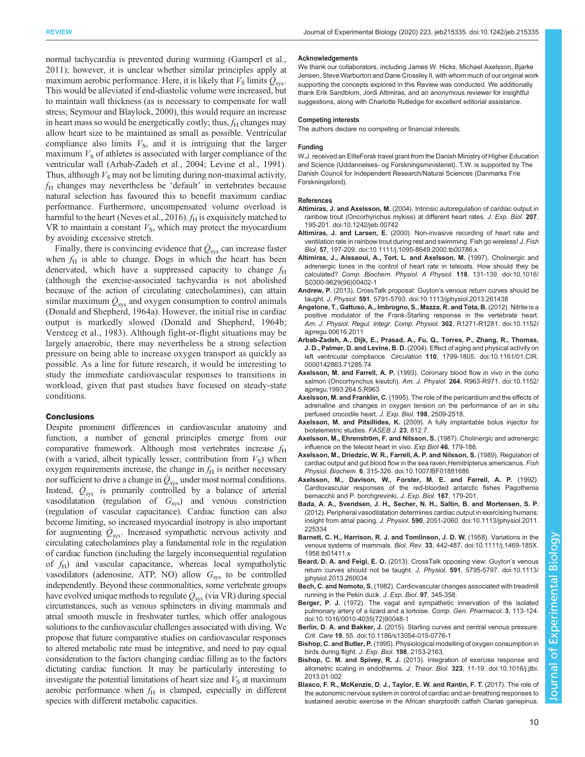<span id="page-9-0"></span>normal tachycardia is prevented during warming [\(Gamperl et al.,](#page-11-0) [2011](#page-11-0)); however, it is unclear whether similar principles apply at maximum aerobic performance. Here, it is likely that  $\hat{V}_{\rm S}$  limits  $\hat{Q}_{\rm sys}$ . This would be alleviated if end-diastolic volume were increased, but to maintain wall thickness (as is necessary to compensate for wall stress; [Seymour and Blaylock, 2000\)](#page-13-0), this would require an increase in heart mass so would be energetically costly; thus,  $f_H$  changes may allow heart size to be maintained as small as possible. Ventricular compliance also limits  $V<sub>S</sub>$ , and it is intriguing that the larger maximum  $V<sub>S</sub>$  of athletes is associated with larger compliance of the ventricular wall (Arbab-Zadeh et al., 2004; [Levine et al., 1991\)](#page-12-0). Thus, although  $V<sub>S</sub>$  may not be limiting during non-maximal activity,  $f_H$  changes may nevertheless be 'default' in vertebrates because natural selection has favoured this to benefit maximum cardiac performance. Furthermore, uncompensated volume overload is harmful to the heart ([Neves et al., 2016\)](#page-13-0).  $f_H$  is exquisitely matched to VR to maintain a constant  $V<sub>S</sub>$ , which may protect the myocardium by avoiding excessive stretch.

Finally, there is convincing evidence that  $\dot{Q}_{\rm sys}$  can increase faster when  $f<sub>H</sub>$  is able to change. Dogs in which the heart has been denervated, which have a suppressed capacity to change  $f_H$ (although the exercise-associated tachycardia is not abolished because of the action of circulating catecholamines), can attain similar maximum  $\dot{Q}_{\rm sys}$  and oxygen consumption to control animals [\(Donald and Shepherd, 1964a](#page-10-0)). However, the initial rise in cardiac output is markedly slowed ([Donald and Shepherd, 1964b](#page-10-0); [Versteeg et al., 1983](#page-14-0)). Although fight-or-flight situations may be largely anaerobic, there may nevertheless be a strong selection pressure on being able to increase oxygen transport as quickly as possible. As a line for future research, it would be interesting to study the immediate cardiovascular responses to transitions in workload, given that past studies have focused on steady-state conditions.

#### **Conclusions**

Despite prominent differences in cardiovascular anatomy and function, a number of general principles emerge from our comparative framework. Although most vertebrates increase  $f<sub>H</sub>$ (with a varied, albeit typically lesser, contribution from  $V<sub>S</sub>$ ) when oxygen requirements increase, the change in  $f<sub>H</sub>$  is neither necessary nor sufficient to drive a change in  $\dot{Q}_\text{sys}$  under most normal conditions. Instead,  $\dot{Q}_{sys}$  is primarily controlled by a balance of arterial vasodilatation (regulation of  $G_{\text{sys}}$ ) and venous constriction (regulation of vascular capacitance). Cardiac function can also become limiting, so increased myocardial inotropy is also important for augmenting  $\dot{Q}_{\text{sys}}$ . Increased sympathetic nervous activity and circulating catecholamines play a fundamental role in the regulation of cardiac function (including the largely inconsequential regulation of  $f_{\rm H}$ ) and vascular capacitance, whereas local sympatholytic vasodilators (adenosine, ATP, NO) allow  $G_{\text{sys}}$  to be controlled independently. Beyond these commonalities, some vertebrate groups have evolved unique methods to regulate  $\dot{Q}_\text{sys}$  (via VR) during special circumstances, such as venous sphincters in diving mammals and atrial smooth muscle in freshwater turtles, which offer analogous solutions to the cardiovascular challenges associated with diving. We propose that future comparative studies on cardiovascular responses to altered metabolic rate must be integrative, and need to pay equal consideration to the factors changing cardiac filling as to the factors dictating cardiac function. It may be particularly interesting to investigate the potential limitations of heart size and  $V<sub>S</sub>$  at maximum aerobic performance when  $f<sub>H</sub>$  is clamped, especially in different species with different metabolic capacities.

#### Acknowledgements

We thank our collaborators, including James W. Hicks, Michael Axelsson, Bjarke Jensen, Steve Warburton and Dane Crossley II, with whom much of our original work supporting the concepts explored in this Review was conducted. We additionally thank Erik Sandblom, Jordi Altimiras, and an anonymous reviewer for insightful suggestions, along with Charlotte Rutledge for excellent editorial assistance.

#### Competing interests

The authors declare no competing or financial interests.

#### Funding

W.J. received an EliteForsk travel grant from the Danish Ministry of Higher Education and Science (Uddannelses- og Forskningsministeriet). T.W. is supported by The Danish Council for Independent Research/Natural Sciences (Danmarks Frie Forskningsfond).

#### References

- Altimiras, J. and Axelsson, M. [\(2004\). Intrinsic autoregulation of cardiac output in](https://doi.org/10.1242/jeb.00742) [rainbow trout \(Oncorhynchus mykiss\) at different heart rates.](https://doi.org/10.1242/jeb.00742) J. Exp. Biol. 207, [195-201. doi:10.1242/jeb.00742](https://doi.org/10.1242/jeb.00742)
- Altimiras, J. and Larsen, E. [\(2000\). Non-invasive recording of heart rate and](https://doi.org/10.1111/j.1095-8649.2000.tb00786.x) [ventilation rate in rainbow trout during rest and swimming. Fish go wireless!](https://doi.org/10.1111/j.1095-8649.2000.tb00786.x) J. Fish Biol. 57[, 197-209. doi:10.1111/j.1095-8649.2000.tb00786.x](https://doi.org/10.1111/j.1095-8649.2000.tb00786.x)
- [Altimiras, J., Aissaoui, A., Tort, L. and Axelsson, M.](https://doi.org/10.1016/S0300-9629(96)00402-1) (1997). Cholinergic and [adrenergic tones in the control of heart rate in teleosts. How should they be](https://doi.org/10.1016/S0300-9629(96)00402-1) calculated? [Comp. Biochem. Physiol. A Physiol.](https://doi.org/10.1016/S0300-9629(96)00402-1) 118, 131-139. doi:10.1016/ [S0300-9629\(96\)00402-1](https://doi.org/10.1016/S0300-9629(96)00402-1)
- Andrew, P. [\(2013\). CrossTalk proposal: Guyton](https://doi.org/10.1113/jphysiol.2013.261438)'s venous return curves should be taught. J. Physiol. 591[, 5791-5793. doi:10.1113/jphysiol.2013.261438](https://doi.org/10.1113/jphysiol.2013.261438)
- [Angelone, T., Gattuso, A., Imbrogno, S., Mazza, R. and Tota, B.](https://doi.org/10.1152/ajpregu.00616.2011) (2012). Nitrite is a [positive modulator of the Frank-Starling response in the vertebrate heart.](https://doi.org/10.1152/ajpregu.00616.2011) [Am. J. Physiol. Regul. Integr. Comp. Physiol.](https://doi.org/10.1152/ajpregu.00616.2011) 302, R1271-R1281. doi:10.1152/ [ajpregu.00616.2011](https://doi.org/10.1152/ajpregu.00616.2011)
- [Arbab-Zadeh, A., Dijk, E., Prasad, A., Fu, Q., Torres, P., Zhang, R., Thomas,](https://doi.org/10.1161/01.CIR.0000142863.71285.74) J. D., Palmer, D. and Levine, B. D. [\(2004\). Effect of aging and physical activity on](https://doi.org/10.1161/01.CIR.0000142863.71285.74) left ventricular compliance. Circulation 110[, 1799-1805. doi:10.1161/01.CIR.](https://doi.org/10.1161/01.CIR.0000142863.71285.74) [0000142863.71285.74](https://doi.org/10.1161/01.CIR.0000142863.71285.74)
- Axelsson, M. and Farrell, A. P. [\(1993\). Coronary blood flow in vivo in the coho](https://doi.org/10.1152/ajpregu.1993.264.5.R963) [salmon \(Oncorhynchus kisutch\).](https://doi.org/10.1152/ajpregu.1993.264.5.R963) Am. J. Physiol. 264, R963-R971. doi:10.1152/ [ajpregu.1993.264.5.R963](https://doi.org/10.1152/ajpregu.1993.264.5.R963)
- Axelsson, M. and Franklin, C. (1995). The role of the pericardium and the effects of adrenaline and changes in oxygen tension on the performance of an in situ perfused crocodile heart. J. Exp. Biol. 198, 2509-2518.
- Axelsson, M. and Pitsillides, K. (2009). A fully implantable bolus injector for biotelemetric studies. FASEB J. 23, 812.7.
- Axelsson, M., Ehrenström, F. and Nilsson, S. (1987). Cholinergic and adrenergic influence on the teleost heart in vivo. Exp Biol 46, 179-186.
- [Axelsson, M., Driedzic, W. R., Farrell, A. P. and Nilsson, S.](https://doi.org/10.1007/BF01881686) (1989). Regulation of cardiac output and gut blood flow in the sea raven, Hemitripterus americanus. Fish Physiol. Biochem. 6[, 315-326. doi:10.1007/BF01881686](https://doi.org/10.1007/BF01881686)
- Axelsson, M., Davison, W., Forster, M. E. and Farrell, A. P. (1992). Cardiovascular responses of the red-blooded antarctic fishes Pagothenia bernacchii and P. borchgrevinki. J. Exp. Biol. 167, 179-201.
- [Bada, A. A., Svendsen, J. H., Secher, N. H., Saltin, B. and Mortensen, S. P.](https://doi.org/10.1113/jphysiol.2011.225334) [\(2012\). Peripheral vasodilatation determines cardiac output in exercising humans:](https://doi.org/10.1113/jphysiol.2011.225334) insight from atrial pacing. J. Physiol. 590[, 2051-2060. doi:10.1113/jphysiol.2011.](https://doi.org/10.1113/jphysiol.2011.225334) [225334](https://doi.org/10.1113/jphysiol.2011.225334)
- [Barnett, C. H., Harrison, R. J. and Tomlinson, J. D. W.](https://doi.org/10.1111/j.1469-185X.1958.tb01411.x) (1958). Variations in the venous systems of mammals. Biol. Rev. 33[, 442-487. doi:10.1111/j.1469-185X.](https://doi.org/10.1111/j.1469-185X.1958.tb01411.x) [1958.tb01411.x](https://doi.org/10.1111/j.1469-185X.1958.tb01411.x)
- Beard, D. A. and Feigl, E. O. [\(2013\). CrossTalk opposing view: Guyton](https://doi.org/10.1113/jphysiol.2013.260034)'s venous [return curves should not be taught.](https://doi.org/10.1113/jphysiol.2013.260034) J. Physiol. 591, 5795-5797. doi:10.1113/ [jphysiol.2013.260034](https://doi.org/10.1113/jphysiol.2013.260034)
- Bech, C. and Nomoto, S. (1982). Cardiovascular changes associated with treadmill running in the Pekin duck. J. Exp. Biol. 97, 345-358.
- Berger, P. J. [\(1972\). The vagal and sympathetic innervation of the isolated](https://doi.org/10.1016/0010-4035(72)90048-1) [pulmonary artery of a lizard and a tortoise.](https://doi.org/10.1016/0010-4035(72)90048-1) Comp. Gen. Pharmacol. 3, 113-124. [doi:10.1016/0010-4035\(72\)90048-1](https://doi.org/10.1016/0010-4035(72)90048-1)
- Berlin, D. A. and Bakker, J. [\(2015\). Starling curves and central venous pressure.](https://doi.org/10.1186/s13054-015-0776-1) Crit. Care 19[, 55. doi:10.1186/s13054-015-0776-1](https://doi.org/10.1186/s13054-015-0776-1)
- Bishop, C. and Butler, P. (1995). Physiological modelling of oxygen consumption in birds during flight. J. Exp. Biol. 198, 2153-2163.
- Bishop, C. M. and Spivey, R. J. [\(2013\). Integration of exercise response and](https://doi.org/10.1016/j.jtbi.2013.01.002) [allometric scaling in endotherms.](https://doi.org/10.1016/j.jtbi.2013.01.002) J. Theor. Biol. 323, 11-19. doi:10.1016/j.jtbi. [2013.01.002](https://doi.org/10.1016/j.jtbi.2013.01.002)
- [Blasco, F. R., McKenzie, D. J., Taylor, E. W. and Rantin, F. T.](https://doi.org/10.1016/j.cbpa.2016.09.023) (2017). The role of [the autonomic nervous system in control of cardiac and air-breathing responses to](https://doi.org/10.1016/j.cbpa.2016.09.023) [sustained aerobic exercise in the African sharptooth catfish Clarias gariepinus.](https://doi.org/10.1016/j.cbpa.2016.09.023)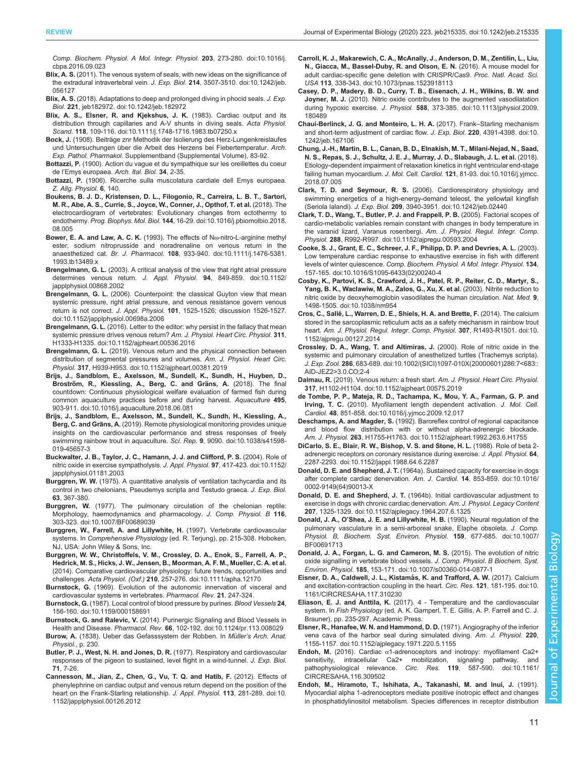<span id="page-10-0"></span>[Comp. Biochem. Physiol. A Mol. Integr. Physiol.](https://doi.org/10.1016/j.cbpa.2016.09.023) 203, 273-280. doi:10.1016/j. [cbpa.2016.09.023](https://doi.org/10.1016/j.cbpa.2016.09.023)

- Blix, A. S. [\(2011\). The venous system of seals, with new ideas on the significance of](https://doi.org/10.1242/jeb.056127) [the extradural intravertebral vein.](https://doi.org/10.1242/jeb.056127) J. Exp. Biol. 214, 3507-3510. doi:10.1242/jeb. [056127](https://doi.org/10.1242/jeb.056127)
- Blix, A. S. [\(2018\). Adaptations to deep and prolonged diving in phocid seals.](https://doi.org/10.1242/jeb.182972) J. Exp. Biol. 221[, jeb182972. doi:10.1242/jeb.182972](https://doi.org/10.1242/jeb.182972)
- [Blix, A. S., Elsner, R. and Kjekshus, J. K.](https://doi.org/10.1111/j.1748-1716.1983.tb07250.x) (1983). Cardiac output and its [distribution through capillaries and A-V shunts in diving seals.](https://doi.org/10.1111/j.1748-1716.1983.tb07250.x) Acta Physiol. Scand. 118[, 109-116. doi:10.1111/j.1748-1716.1983.tb07250.x](https://doi.org/10.1111/j.1748-1716.1983.tb07250.x)
- Bock, J. (1908). Beiträge znr Methodik der Isolierung des Herz-Lungenkreislaufes und Untersuchungen über die Arbeit des Herzens bei Fiebertemperatur. Arch. Exp. Pathol. Pharmakol. Supplementband (Supplemental Volume), 83-92.
- Bottazzi, P. (1900). Action du vague et du sympathique sur les oreillettes du coeur de l'Emys europaea. Arch. Ital. Biol. 34, 2-35.
- Bottazzi, P. (1906). Ricerche sulla muscolatura cardiale dell Emys europaea. Z. Allg. Physiol. 6, 140.
- [Boukens, B. J. D., Kristensen, D. L., Filogonio, R., Carreira, L. B. T., Sartori,](https://doi.org/10.1016/j.pbiomolbio.2018.08.005) [M. R., Abe, A. S., Currie, S., Joyce, W., Conner, J., Opthof, T. et al.](https://doi.org/10.1016/j.pbiomolbio.2018.08.005) (2018). The [electrocardiogram of vertebrates: Evolutionary changes from ectothermy to](https://doi.org/10.1016/j.pbiomolbio.2018.08.005) endothermy. Prog. Biophys. Mol. Biol. 144[, 16-29. doi:10.1016/j.pbiomolbio.2018.](https://doi.org/10.1016/j.pbiomolbio.2018.08.005) [08.005](https://doi.org/10.1016/j.pbiomolbio.2018.08.005)
- [Bower, E. A. and Law, A. C. K.](https://doi.org/10.1111/j.1476-5381.1993.tb13489.x) (1993). The effects of Nω-nitro-L-arginine methyl [ester, sodium nitroprusside and noradrenaline on venous return in the](https://doi.org/10.1111/j.1476-5381.1993.tb13489.x) anaesthetized cat. Br. J. Pharmacol. 108[, 933-940. doi:10.1111/j.1476-5381.](https://doi.org/10.1111/j.1476-5381.1993.tb13489.x) [1993.tb13489.x](https://doi.org/10.1111/j.1476-5381.1993.tb13489.x)
- Brengelmann, G. L. [\(2003\). A critical analysis of the view that right atrial pressure](https://doi.org/10.1152/japplphysiol.00868.2002) [determines venous return.](https://doi.org/10.1152/japplphysiol.00868.2002) J. Appl. Physiol. 94, 849-859. doi:10.1152/ [japplphysiol.00868.2002](https://doi.org/10.1152/japplphysiol.00868.2002)
- Brengelmann, G. L. [\(2006\). Counterpoint: the classical Guyton view that mean](https://doi.org/10.1152/japplphysiol.00698a.2006) [systemic pressure, right atrial pressure, and venous resistance govern venous](https://doi.org/10.1152/japplphysiol.00698a.2006) return is not correct. J. Appl. Physiol. 101[, 1525-1526; discussion 1526-1527.](https://doi.org/10.1152/japplphysiol.00698a.2006) [doi:10.1152/japplphysiol.00698a.2006](https://doi.org/10.1152/japplphysiol.00698a.2006)
- Brengelmann, G. L. [\(2016\). Letter to the editor: why persist in the fallacy that mean](https://doi.org/10.1152/ajpheart.00536.2016) [systemic pressure drives venous return?](https://doi.org/10.1152/ajpheart.00536.2016) Am. J. Physiol. Heart Circ. Physiol. 311, [H1333-H1335. doi:10.1152/ajpheart.00536.2016](https://doi.org/10.1152/ajpheart.00536.2016)
- Brengelmann, G. L. [\(2019\). Venous return and the physical connection between](https://doi.org/10.1152/ajpheart.00381.2019) [distribution of segmental pressures and volumes.](https://doi.org/10.1152/ajpheart.00381.2019) Am. J. Physiol. Heart Circ. Physiol. 317[, H939-H953. doi:10.1152/ajpheart.00381.2019](https://doi.org/10.1152/ajpheart.00381.2019)
- [Brijs, J., Sandblom, E., Axelsson, M., Sundell, K., Sundh, H., Huyben, D.,](https://doi.org/10.1016/j.aquaculture.2018.06.081) Broström, R., Kiessling, A., Berg, C. and Gräns, A. (2018). The final [countdown: Continuous physiological welfare evaluation of farmed fish during](https://doi.org/10.1016/j.aquaculture.2018.06.081) [common aquaculture practices before and during harvest.](https://doi.org/10.1016/j.aquaculture.2018.06.081) Aquaculture 495, [903-911. doi:10.1016/j.aquaculture.2018.06.081](https://doi.org/10.1016/j.aquaculture.2018.06.081)
- [Brijs, J., Sandblom, E., Axelsson, M., Sundell, K., Sundh, H., Kiessling, A.,](https://doi.org/10.1038/s41598-019-45657-3) Berg, C. and Gräns, A. [\(2019\). Remote physiological monitoring provides unique](https://doi.org/10.1038/s41598-019-45657-3) [insights on the cardiovascular performance and stress responses of freely](https://doi.org/10.1038/s41598-019-45657-3) [swimming rainbow trout in aquaculture.](https://doi.org/10.1038/s41598-019-45657-3) Sci. Rep. 9, 9090. doi:10.1038/s41598- [019-45657-3](https://doi.org/10.1038/s41598-019-45657-3)
- [Buckwalter, J. B., Taylor, J. C., Hamann, J. J. and Clifford, P. S.](https://doi.org/10.1152/japplphysiol.01181.2003) (2004). Role of [nitric oxide in exercise sympatholysis.](https://doi.org/10.1152/japplphysiol.01181.2003) J. Appl. Physiol. 97, 417-423. doi:10.1152/ [japplphysiol.01181.2003](https://doi.org/10.1152/japplphysiol.01181.2003)
- Burggren, W. W. (1975). A quantitative analysis of ventilation tachycardia and its control in two chelonians, Pseudemys scripta and Testudo graeca. J. Exp. Biol. 63, 367-380.
- Burggren, W. [\(1977\). The pulmonary circulation of the chelonian reptile:](https://doi.org/10.1007/BF00689039) [Morphology, haemodynamics and pharmacology.](https://doi.org/10.1007/BF00689039) J. Comp. Physiol. B 116, [303-323. doi:10.1007/BF00689039](https://doi.org/10.1007/BF00689039)
- Burggren, W., Farrell, A. and Lillywhite, H. (1997). Vertebrate cardiovascular systems. In Comprehensive Physiology (ed. R. Terjung), pp. 215-308. Hoboken, NJ, USA: John Wiley & Sons, Inc.
- [Burggren, W. W., Christoffels, V. M., Crossley, D. A., Enok, S., Farrell, A. P.,](https://doi.org/10.1111/apha.12170) [Hedrick, M. S., Hicks, J. W., Jensen, B., Moorman, A. F. M., Mueller, C. A. et al.](https://doi.org/10.1111/apha.12170) [\(2014\). Comparative cardiovascular physiology: future trends, opportunities and](https://doi.org/10.1111/apha.12170) challenges. Acta Physiol. (Oxf.) 210[, 257-276. doi:10.1111/apha.12170](https://doi.org/10.1111/apha.12170)
- Burnstock, G. (1969). Evolution of the autonomic innervation of visceral and cardiovascular systems in vertebrates. Pharmacol. Rev. 21, 247-324.
- Burnstock, G. [\(1987\). Local control of blood pressure by purines.](https://doi.org/10.1159/000158691) Blood Vessels 24, [156-160. doi:10.1159/000158691](https://doi.org/10.1159/000158691)
- Burnstock, G. and Ralevic, V. [\(2014\). Purinergic Signaling and Blood Vessels in](https://doi.org/10.1124/pr.113.008029) Health and Disease. Pharmacol. Rev. 66[, 102-192. doi:10.1124/pr.113.008029](https://doi.org/10.1124/pr.113.008029)
- Burow, A. (1838). Ueber das Gefasssystem der Robben. In Müller's Arch. Anat. Physiol., p. 230.
- Butler, P. J., West, N. H. and Jones, D. R. (1977). Respiratory and cardiovascular responses of the pigeon to sustained, level flight in a wind-tunnel. J. Exp. Biol. 71, 7-26.
- [Cannesson, M., Jian, Z., Chen, G., Vu, T. Q. and Hatib, F.](https://doi.org/10.1152/japplphysiol.00126.2012) (2012). Effects of [phenylephrine on cardiac output and venous return depend on the position of the](https://doi.org/10.1152/japplphysiol.00126.2012) [heart on the Frank-Starling relationship.](https://doi.org/10.1152/japplphysiol.00126.2012) J. Appl. Physiol. 113, 281-289. doi:10. [1152/japplphysiol.00126.2012](https://doi.org/10.1152/japplphysiol.00126.2012)
- [Carroll, K. J., Makarewich, C. A., McAnally, J., Anderson, D. M., Zentilin, L., Liu,](https://doi.org/10.1073/pnas.1523918113) [N., Giacca, M., Bassel-Duby, R. and Olson, E. N.](https://doi.org/10.1073/pnas.1523918113) (2016). A mouse model for [adult cardiac-specific gene deletion with CRISPR/Cas9.](https://doi.org/10.1073/pnas.1523918113) Proc. Natl. Acad. Sci. USA 113[, 338-343. doi:10.1073/pnas.1523918113](https://doi.org/10.1073/pnas.1523918113)
- [Casey, D. P., Madery, B. D., Curry, T. B., Eisenach, J. H., Wilkins, B. W. and](https://doi.org/10.1113/jphysiol.2009.180489) Joyner, M. J. [\(2010\). Nitric oxide contributes to the augmented vasodilatation](https://doi.org/10.1113/jphysiol.2009.180489) during hypoxic exercise. J. Physiol. 588[, 373-385. doi:10.1113/jphysiol.2009.](https://doi.org/10.1113/jphysiol.2009.180489) [180489](https://doi.org/10.1113/jphysiol.2009.180489)
- [Chaui-Berlinck, J. G. and Monteiro, L. H. A.](https://doi.org/10.1242/jeb.167106) (2017). Frank–Starling mechanism [and short-term adjustment of cardiac flow.](https://doi.org/10.1242/jeb.167106) J. Exp. Biol. 220, 4391-4398. doi:10. [1242/jeb.167106](https://doi.org/10.1242/jeb.167106)
- [Chung, J.-H., Martin, B. L., Canan, B. D., Elnakish, M. T., Milani-Nejad, N., Saad,](https://doi.org/10.1016/j.yjmcc.2018.07.005) [N. S., Repas, S. J., Schultz, J. E. J., Murray, J. D., Slabaugh, J. L. et al.](https://doi.org/10.1016/j.yjmcc.2018.07.005) (2018). [Etiology-dependent impairment of relaxation kinetics in right ventricular end-stage](https://doi.org/10.1016/j.yjmcc.2018.07.005) failing human myocardium. J. Mol. Cell. Cardiol. 121[, 81-93. doi:10.1016/j.yjmcc.](https://doi.org/10.1016/j.yjmcc.2018.07.005) [2018.07.005](https://doi.org/10.1016/j.yjmcc.2018.07.005)
- Clark, T. D. and Seymour, R. S. [\(2006\). Cardiorespiratory physiology and](https://doi.org/10.1242/jeb.02440) [swimming energetics of a high-energy-demand teleost, the yellowtail kingfish](https://doi.org/10.1242/jeb.02440) (Seriola lalandi). J. Exp. Biol. 209[, 3940-3951. doi:10.1242/jeb.02440](https://doi.org/10.1242/jeb.02440)
- [Clark, T. D., Wang, T., Butler, P. J. and Frappell, P. B.](https://doi.org/10.1152/ajpregu.00593.2004) (2005). Factorial scopes of [cardio-metabolic variables remain constant with changes in body temperature in](https://doi.org/10.1152/ajpregu.00593.2004) [the varanid lizard, Varanus rosenbergi.](https://doi.org/10.1152/ajpregu.00593.2004) Am. J. Physiol. Regul. Integr. Comp. Physiol. 288[, R992-R997. doi:10.1152/ajpregu.00593.2004](https://doi.org/10.1152/ajpregu.00593.2004)
- [Cooke, S. J., Grant, E. C., Schreer, J. F., Philipp, D. P. and Devries, A. L.](https://doi.org/10.1016/S1095-6433(02)00240-4) (2003). [Low temperature cardiac response to exhaustive exercise in fish with different](https://doi.org/10.1016/S1095-6433(02)00240-4) levels of winter quiescence. [Comp. Biochem. Physiol. A Mol. Integr. Physiol.](https://doi.org/10.1016/S1095-6433(02)00240-4) 134, [157-165. doi:10.1016/S1095-6433\(02\)00240-4](https://doi.org/10.1016/S1095-6433(02)00240-4)
- [Cosby, K., Partovi, K. S., Crawford, J. H., Patel, R. P., Reiter, C. D., Martyr, S.,](https://doi.org/10.1038/nm954) [Yang, B. K., Waclawiw, M. A., Zalos, G., Xu, X. et al.](https://doi.org/10.1038/nm954) (2003). Nitrite reduction to [nitric oxide by deoxyhemoglobin vasodilates the human circulation.](https://doi.org/10.1038/nm954) Nat. Med. 9, [1498-1505. doi:10.1038/nm954](https://doi.org/10.1038/nm954)
- Cros, C., Sallé[, L., Warren, D. E., Shiels, H. A. and Brette, F.](https://doi.org/10.1152/ajpregu.00127.2014) (2014). The calcium [stored in the sarcoplasmic reticulum acts as a safety mechanism in rainbow trout](https://doi.org/10.1152/ajpregu.00127.2014) heart. [Am. J. Physiol. Regul. Integr. Comp. Physiol.](https://doi.org/10.1152/ajpregu.00127.2014) 307, R1493-R1501. doi:10. [1152/ajpregu.00127.2014](https://doi.org/10.1152/ajpregu.00127.2014)
- [Crossley, D. A., Wang, T. and Altimiras, J.](https://doi.org/10.1002/(SICI)1097-010X(20000601)286:7%3C683::AID-JEZ2%3E3.0.CO;2-4) (2000). Role of nitric oxide in the [systemic and pulmonary circulation of anesthetized turtles \(Trachemys scripta\).](https://doi.org/10.1002/(SICI)1097-010X(20000601)286:7%3C683::AID-JEZ2%3E3.0.CO;2-4) J. Exp. Zool. 286[, 683-689. doi:10.1002/\(SICI\)1097-010X\(20000601\)286:7<683::](https://doi.org/10.1002/(SICI)1097-010X(20000601)286:7%3C683::AID-JEZ2%3E3.0.CO;2-4) [AID-JEZ2>3.0.CO;2-4](https://doi.org/10.1002/(SICI)1097-010X(20000601)286:7%3C683::AID-JEZ2%3E3.0.CO;2-4)
- Dalmau, R. [\(2019\). Venous return: a fresh start.](https://doi.org/10.1152/ajpheart.00575.2019) Am. J. Physiol. Heart Circ. Physiol. 317[, H1102-H1104. doi:10.1152/ajpheart.00575.2019](https://doi.org/10.1152/ajpheart.00575.2019)
- [de Tombe, P. P., Mateja, R. D., Tachampa, K., Mou, Y. A., Farman, G. P. and](https://doi.org/10.1016/j.yjmcc.2009.12.017) Irving, T. C. [\(2010\). Myofilament length dependent activation.](https://doi.org/10.1016/j.yjmcc.2009.12.017) J. Mol. Cell. Cardiol. 48[, 851-858. doi:10.1016/j.yjmcc.2009.12.017](https://doi.org/10.1016/j.yjmcc.2009.12.017)
- Deschamps, A. and Magder, S. [\(1992\). Baroreflex control of regional capacitance](https://doi.org/10.1152/ajpheart.1992.263.6.H1755) [and blood flow distribution with or without alpha-adrenergic blockade.](https://doi.org/10.1152/ajpheart.1992.263.6.H1755) Am. J. Physiol. 263[, H1755-H1763. doi:10.1152/ajpheart.1992.263.6.H1755](https://doi.org/10.1152/ajpheart.1992.263.6.H1755)
- [DiCarlo, S. E., Blair, R. W., Bishop, V. S. and Stone, H. L.](https://doi.org/10.1152/jappl.1988.64.6.2287) (1988). Role of beta 2 [adrenergic receptors on coronary resistance during exercise.](https://doi.org/10.1152/jappl.1988.64.6.2287) J. Appl. Physiol. 64, [2287-2293. doi:10.1152/jappl.1988.64.6.2287](https://doi.org/10.1152/jappl.1988.64.6.2287)
- Donald, D. E. and Shepherd, J. T. [\(1964a\). Sustained capacity for exercise in dogs](https://doi.org/10.1016/0002-9149(64)90013-X) [after complete cardiac denervation.](https://doi.org/10.1016/0002-9149(64)90013-X) Am. J. Cardiol. 14, 853-859. doi:10.1016/ [0002-9149\(64\)90013-X](https://doi.org/10.1016/0002-9149(64)90013-X)
- Donald, D. E. and Shepherd, J. T. [\(1964b\). Initial cardiovascular adjustment to](https://doi.org/10.1152/ajplegacy.1964.207.6.1325) [exercise in dogs with chronic cardiac denervation.](https://doi.org/10.1152/ajplegacy.1964.207.6.1325) Am. J. Physiol. Legacy Content 207[, 1325-1329. doi:10.1152/ajplegacy.1964.207.6.1325](https://doi.org/10.1152/ajplegacy.1964.207.6.1325)
- Donald, J. A., O'[Shea, J. E. and Lillywhite, H. B.](https://doi.org/10.1007/BF00691713) (1990). Neural regulation of the [pulmonary vasculature in a semi-arboreal snake, Elaphe obsoleta.](https://doi.org/10.1007/BF00691713) J. Comp. [Physiol. B, Biochem. Syst. Environ. Physiol.](https://doi.org/10.1007/BF00691713) 159, 677-685. doi:10.1007/ [BF00691713](https://doi.org/10.1007/BF00691713)
- [Donald, J. A., Forgan, L. G. and Cameron, M. S.](https://doi.org/10.1007/s00360-014-0877-1) (2015). The evolution of nitric [oxide signalling in vertebrate blood vessels.](https://doi.org/10.1007/s00360-014-0877-1) J. Comp. Physiol. B Biochem. Syst. Environ. Physiol. 185[, 153-171. doi:10.1007/s00360-014-0877-1](https://doi.org/10.1007/s00360-014-0877-1)
- Eisner, D. A., Caldwell, J. L., Kistamás, K. and Trafford, A. W. (2017). Calcium [and excitation-contraction coupling in the heart.](https://doi.org/10.1161/CIRCRESAHA.117.310230) Circ. Res. 121, 181-195. doi:10. [1161/CIRCRESAHA.117.310230](https://doi.org/10.1161/CIRCRESAHA.117.310230)
- Eliason, E. J. and Anttila, K. (2017). 4 Temperature and the cardiovascular system. In Fish Physiology (ed. A. K. Gamperl, T. E. Gillis, A. P. Farrell and C. J. Brauner), pp. 235-297. Academic Press.
- [Elsner, R., Hanafee, W. N. and Hammond, D. D.](https://doi.org/10.1152/ajplegacy.1971.220.5.1155) (1971). Angiography of the inferior [vena cava of the harbor seal during simulated diving.](https://doi.org/10.1152/ajplegacy.1971.220.5.1155) Am. J. Physiol. 220, [1155-1157. doi:10.1152/ajplegacy.1971.220.5.1155](https://doi.org/10.1152/ajplegacy.1971.220.5.1155)
- Endoh, M. (2016). Cardiac  $\alpha$ [1-adrenoceptors and inotropy: myofilament Ca2+](https://doi.org/10.1161/CIRCRESAHA.116.309502) [sensitivity, intracellular Ca2+ mobilization, signaling pathway, and](https://doi.org/10.1161/CIRCRESAHA.116.309502) [pathophysiological relevance.](https://doi.org/10.1161/CIRCRESAHA.116.309502) Circ. Res. 119, 587-590. doi:10.1161/ [CIRCRESAHA.116.309502](https://doi.org/10.1161/CIRCRESAHA.116.309502)
- [Endoh, M., Hiramoto, T., Ishihata, A., Takanashi, M. and Inui, J.](https://doi.org/10.1161/01.RES.68.5.1179) (1991). [Myocardial alpha 1-adrenoceptors mediate positive inotropic effect and changes](https://doi.org/10.1161/01.RES.68.5.1179) [in phosphatidylinositol metabolism. Species differences in receptor distribution](https://doi.org/10.1161/01.RES.68.5.1179)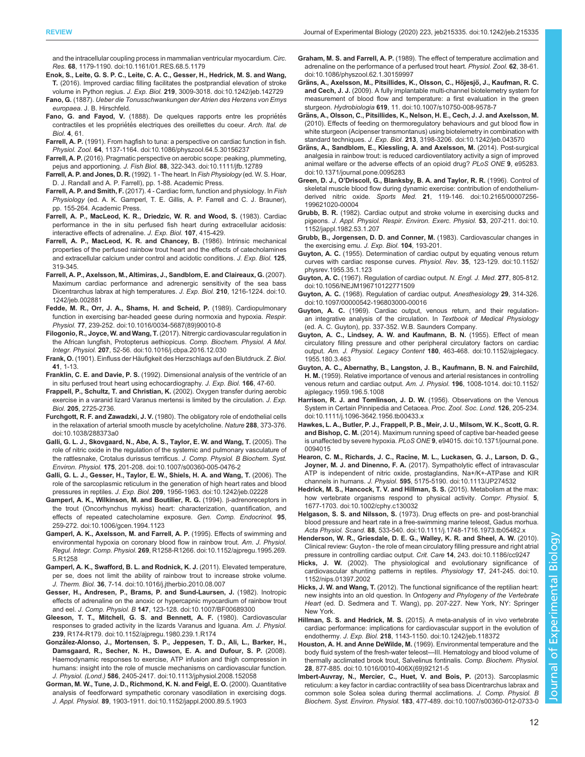<span id="page-11-0"></span>[and the intracellular coupling process in mammalian ventricular myocardium.](https://doi.org/10.1161/01.RES.68.5.1179) Circ. Res. 68[, 1179-1190. doi:10.1161/01.RES.68.5.1179](https://doi.org/10.1161/01.RES.68.5.1179)

- [Enok, S., Leite, G. S. P. C., Leite, C. A. C., Gesser, H., Hedrick, M. S. and Wang,](https://doi.org/10.1242/jeb.142729) T. [\(2016\). Improved cardiac filling facilitates the postprandial elevation of stroke](https://doi.org/10.1242/jeb.142729) volume in Python regius. J. Exp. Biol. 219[, 3009-3018. doi:10.1242/jeb.142729](https://doi.org/10.1242/jeb.142729)
- Fano, G. (1887). Ueber die Tonusschwankungen der Atrien des Herzens von Emys europaea. J. B. Hirschfeld.
- Fano, G. and Fayod, V. (1888). De quelques rapports entre les propriétés contractiles et les propriétés electriques des oreillettes du coeur. Arch. Ital. de Biol. 4, 61.
- Farrell, A. P. [\(1991\). From hagfish to tuna: a perspective on cardiac function in fish.](https://doi.org/10.1086/physzool.64.5.30156237) Physiol. Zool. 64[, 1137-1164. doi:10.1086/physzool.64.5.30156237](https://doi.org/10.1086/physzool.64.5.30156237)
- Farrell, A. P. [\(2016\). Pragmatic perspective on aerobic scope: peaking, plummeting,](https://doi.org/10.1111/jfb.12789) pejus and apportioning. J. Fish Biol. 88[, 322-343. doi:10.1111/jfb.12789](https://doi.org/10.1111/jfb.12789)
- Farrell, A. P. and Jones, D. R. (1992). 1 The heart. In Fish Physiology (ed. W. S. Hoar, D. J. Randall and A. P. Farrell), pp. 1-88. Academic Press.
- Farrell, A. P. and Smith, F. (2017). 4 Cardiac form, function and physiology. In Fish Physiology (ed. A. K. Gamperl, T. E. Gillis, A. P. Farrell and C. J. Brauner), pp. 155-264. Academic Press.
- Farrell, A. P., MacLeod, K. R., Driedzic, W. R. and Wood, S. (1983). Cardiac performance in the in situ perfused fish heart during extracellular acidosis: interactive effects of adrenaline. J. Exp. Biol. 107, 415-429.
- Farrell, A. P., MacLeod, K. R. and Chancey, B. (1986). Intrinsic mechanical properties of the perfused rainbow trout heart and the effects of catecholamines and extracellular calcium under control and acidotic conditions. J. Exp. Biol. 125, 319-345.
- [Farrell, A. P., Axelsson, M., Altimiras, J., Sandblom, E. and Claireaux, G.](https://doi.org/10.1242/jeb.002881) (2007). [Maximum cardiac performance and adrenergic sensitivity of the sea bass](https://doi.org/10.1242/jeb.002881) [Dicentrarchus labrax at high temperatures.](https://doi.org/10.1242/jeb.002881) J. Exp. Biol. 210, 1216-1224. doi:10. [1242/jeb.002881](https://doi.org/10.1242/jeb.002881)
- [Fedde, M. R., Orr, J. A., Shams, H. and Scheid, P.](https://doi.org/10.1016/0034-5687(89)90010-8) (1989). Cardiopulmonary [function in exercising bar-headed geese during normoxia and hypoxia.](https://doi.org/10.1016/0034-5687(89)90010-8) Respir. Physiol. 77[, 239-252. doi:10.1016/0034-5687\(89\)90010-8](https://doi.org/10.1016/0034-5687(89)90010-8)
- Filogonio, R., Joyce, W. and Wang, T. [\(2017\). Nitrergic cardiovascular regulation in](https://doi.org/10.1016/j.cbpa.2016.12.030) [the African lungfish, Protopterus aethiopicus.](https://doi.org/10.1016/j.cbpa.2016.12.030) Comp. Biochem. Physiol. A Mol. Integr. Physiol. 207[, 52-56. doi:10.1016/j.cbpa.2016.12.030](https://doi.org/10.1016/j.cbpa.2016.12.030)
- Frank, O. (1901). Einfluss der Häufigkeit des Herzschlags auf den Blutdruck. Z. Biol. 41, 1-13.
- Franklin, C. E. and Davie, P. S. (1992). Dimensional analysis of the ventricle of an in situ perfused trout heart using echocardiography. J. Exp. Biol. 166, 47-60.
- Frappell, P., Schultz, T. and Christian, K. (2002). Oxygen transfer during aerobic exercise in a varanid lizard Varanus mertensi is limited by the circulation. J. Exp. Biol. 205, 2725-2736.
- Furchgott, R. F. and Zawadzki, J. V. [\(1980\). The obligatory role of endothelial cells](https://doi.org/10.1038/288373a0) [in the relaxation of arterial smooth muscle by acetylcholine.](https://doi.org/10.1038/288373a0) Nature 288, 373-376. [doi:10.1038/288373a0](https://doi.org/10.1038/288373a0)
- [Galli, G. L. J., Skovgaard, N., Abe, A. S., Taylor, E. W. and Wang, T.](https://doi.org/10.1007/s00360-005-0476-2) (2005). The [role of nitric oxide in the regulation of the systemic and pulmonary vasculature of](https://doi.org/10.1007/s00360-005-0476-2) [the rattlesnake, Crotalus durissus terrificus.](https://doi.org/10.1007/s00360-005-0476-2) J. Comp. Physiol. B Biochem. Syst. Environ. Physiol. 175[, 201-208. doi:10.1007/s00360-005-0476-2](https://doi.org/10.1007/s00360-005-0476-2)
- [Galli, G. L. J., Gesser, H., Taylor, E. W., Shiels, H. A. and Wang, T.](https://doi.org/10.1242/jeb.02228) (2006). The [role of the sarcoplasmic reticulum in the generation of high heart rates and blood](https://doi.org/10.1242/jeb.02228) pressures in reptiles. J. Exp. Biol. 209[, 1956-1963. doi:10.1242/jeb.02228](https://doi.org/10.1242/jeb.02228)
- [Gamperl, A. K., Wilkinson, M. and Boutilier, R. G.](https://doi.org/10.1006/gcen.1994.1123) (1994). β-adrenoreceptors in [the trout \(Oncorhynchus mykiss\) heart: characterization, quantification, and](https://doi.org/10.1006/gcen.1994.1123) [effects of repeated catecholamine exposure.](https://doi.org/10.1006/gcen.1994.1123) Gen. Comp. Endocrinol. 95, [259-272. doi:10.1006/gcen.1994.1123](https://doi.org/10.1006/gcen.1994.1123)
- [Gamperl, A. K., Axelsson, M. and Farrell, A. P.](https://doi.org/10.1152/ajpregu.1995.269.5.R1258) (1995). Effects of swimming and [environmental hypoxia on coronary blood flow in rainbow trout.](https://doi.org/10.1152/ajpregu.1995.269.5.R1258) Am. J. Physiol. Regul. Integr. Comp. Physiol. 269[, R1258-R1266. doi:10.1152/ajpregu.1995.269.](https://doi.org/10.1152/ajpregu.1995.269.5.R1258) [5.R1258](https://doi.org/10.1152/ajpregu.1995.269.5.R1258)
- [Gamperl, A. K., Swafford, B. L. and Rodnick, K. J.](https://doi.org/10.1016/j.jtherbio.2010.08.007) (2011). Elevated temperature, [per se, does not limit the ability of rainbow trout to increase stroke volume.](https://doi.org/10.1016/j.jtherbio.2010.08.007) J. Therm. Biol. 36[, 7-14. doi:10.1016/j.jtherbio.2010.08.007](https://doi.org/10.1016/j.jtherbio.2010.08.007)
- [Gesser, H., Andresen, P., Brams, P. and Sund-Laursen, J.](https://doi.org/10.1007/BF00689300) (1982). Inotropic [effects of adrenaline on the anoxic or hypercapnic myocardium of rainbow trout](https://doi.org/10.1007/BF00689300) and eel. J. Comp. Physiol. B 147[, 123-128. doi:10.1007/BF00689300](https://doi.org/10.1007/BF00689300)
- [Gleeson, T. T., Mitchell, G. S. and Bennett, A. F.](https://doi.org/10.1152/ajpregu.1980.239.1.R174) (1980). Cardiovascular [responses to graded activity in the lizards Varanus and Iguana.](https://doi.org/10.1152/ajpregu.1980.239.1.R174) Am. J. Physiol. 239[, R174-R179. doi:10.1152/ajpregu.1980.239.1.R174](https://doi.org/10.1152/ajpregu.1980.239.1.R174)
- Gonzá[lez-Alonso, J., Mortensen, S. P., Jeppesen, T. D., Ali, L., Barker, H.,](https://doi.org/10.1113/jphysiol.2008.152058) [Damsgaard, R., Secher, N. H., Dawson, E. A. and Dufour, S. P.](https://doi.org/10.1113/jphysiol.2008.152058) (2008). [Haemodynamic responses to exercise, ATP infusion and thigh compression in](https://doi.org/10.1113/jphysiol.2008.152058) [humans: insight into the role of muscle mechanisms on cardiovascular function.](https://doi.org/10.1113/jphysiol.2008.152058) J. Physiol. (Lond.) 586[, 2405-2417. doi:10.1113/jphysiol.2008.152058](https://doi.org/10.1113/jphysiol.2008.152058)
- [Gorman, M. W., Tune, J. D., Richmond, K. N. and Feigl, E. O.](https://doi.org/10.1152/jappl.2000.89.5.1903) (2000). Quantitative [analysis of feedforward sympathetic coronary vasodilation in exercising dogs.](https://doi.org/10.1152/jappl.2000.89.5.1903) J. Appl. Physiol. 89[, 1903-1911. doi:10.1152/jappl.2000.89.5.1903](https://doi.org/10.1152/jappl.2000.89.5.1903)
- Graham, M. S. and Farrell, A. P. [\(1989\). The effect of temperature acclimation and](https://doi.org/10.1086/physzool.62.1.30159997) [adrenaline on the performance of a perfused trout heart.](https://doi.org/10.1086/physzool.62.1.30159997) Physiol. Zool. 62, 38-61. [doi:10.1086/physzool.62.1.30159997](https://doi.org/10.1086/physzool.62.1.30159997)
- Gräns, A., Axelsson, M., Pitsillides, K., Olsson, C., Höjesjö, J., Kaufman, R. C. and Cech, J. J. [\(2009\). A fully implantable multi-channel biotelemetry system for](https://doi.org/10.1007/s10750-008-9578-7) [measurement of blood flow and temperature: a first evaluation in the green](https://doi.org/10.1007/s10750-008-9578-7) sturgeon. Hydrobiologia 619[, 11. doi:10.1007/s10750-008-9578-7](https://doi.org/10.1007/s10750-008-9578-7)
- Grä[ns, A., Olsson, C., Pitsillides, K., Nelson, H. E., Cech, J. J. and Axelsson, M.](https://doi.org/10.1242/jeb.043570) [\(2010\). Effects of feeding on thermoregulatory behaviours and gut blood flow in](https://doi.org/10.1242/jeb.043570) [white sturgeon \(Acipenser transmontanus\) using biotelemetry in combination with](https://doi.org/10.1242/jeb.043570) standard techniques. J. Exp. Biol. 213[, 3198-3206. doi:10.1242/jeb.043570](https://doi.org/10.1242/jeb.043570)
- Grä[ns, A., Sandblom, E., Kiessling, A. and Axelsson, M.](https://doi.org/10.1371/journal.pone.0095283) (2014). Post-surgical [analgesia in rainbow trout: is reduced cardioventilatory activity a sign of improved](https://doi.org/10.1371/journal.pone.0095283) [animal welfare or the adverse effects of an opioid drug?](https://doi.org/10.1371/journal.pone.0095283) PLoS ONE 9, e95283. [doi:10.1371/journal.pone.0095283](https://doi.org/10.1371/journal.pone.0095283)
- Green, D. J., O'[Driscoll, G., Blanksby, B. A. and Taylor, R. R.](https://doi.org/10.2165/00007256-199621020-00004) (1996). Control of [skeletal muscle blood flow during dynamic exercise: contribution of endothelium](https://doi.org/10.2165/00007256-199621020-00004)derived nitric oxide. Sports Med. 21[, 119-146. doi:10.2165/00007256-](https://doi.org/10.2165/00007256-199621020-00004) [199621020-00004](https://doi.org/10.2165/00007256-199621020-00004)
- Grubb, B. R. [\(1982\). Cardiac output and stroke volume in exercising ducks and](https://doi.org/10.1152/jappl.1982.53.1.207) pigeons. [J. Appl. Physiol. Respir. Environ. Exerc. Physiol.](https://doi.org/10.1152/jappl.1982.53.1.207) 53, 207-211. doi:10. [1152/jappl.1982.53.1.207](https://doi.org/10.1152/jappl.1982.53.1.207)
- Grubb, B., Jorgensen, D. D. and Conner, M. (1983). Cardiovascular changes in the exercising emu. J. Exp. Biol. 104, 193-201.
- Guyton, A. C. [\(1955\). Determination of cardiac output by equating venous return](https://doi.org/10.1152/physrev.1955.35.1.123) [curves with cardiac response curves.](https://doi.org/10.1152/physrev.1955.35.1.123) Physiol. Rev. 35, 123-129. doi:10.1152/ [physrev.1955.35.1.123](https://doi.org/10.1152/physrev.1955.35.1.123)
- Guyton, A. C. [\(1967\). Regulation of cardiac output.](https://doi.org/10.1056/NEJM196710122771509) N. Engl. J. Med. 277, 805-812. [doi:10.1056/NEJM196710122771509](https://doi.org/10.1056/NEJM196710122771509)
- Guyton, A. C. [\(1968\). Regulation of cardiac output.](https://doi.org/10.1097/00000542-196803000-00016) Anesthesiology 29, 314-326. [doi:10.1097/00000542-196803000-00016](https://doi.org/10.1097/00000542-196803000-00016)
- Guyton, A. C. (1969). Cardiac output, venous return, and their regulationan integrative analysis of the circulation. In Textbook of Medical Physiology (ed. A. C. Guyton), pp. 337-352. W.B. Saunders Company.
- [Guyton, A. C., Lindsey, A. W. and Kaufmann, B. N.](https://doi.org/10.1152/ajplegacy.1955.180.3.463) (1955). Effect of mean [circulatory filling pressure and other peripheral circulatory factors on cardiac](https://doi.org/10.1152/ajplegacy.1955.180.3.463) output. Am. J. Physiol. Legacy Content 180[, 463-468. doi:10.1152/ajplegacy.](https://doi.org/10.1152/ajplegacy.1955.180.3.463) [1955.180.3.463](https://doi.org/10.1152/ajplegacy.1955.180.3.463)
- [Guyton, A. C., Abernathy, B., Langston, J. B., Kaufmann, B. N. and Fairchild,](https://doi.org/10.1152/ajplegacy.1959.196.5.1008) H. M. [\(1959\). Relative importance of venous and arterial resistances in controlling](https://doi.org/10.1152/ajplegacy.1959.196.5.1008) [venous return and cardiac output.](https://doi.org/10.1152/ajplegacy.1959.196.5.1008) Am. J. Physiol. 196, 1008-1014. doi:10.1152/ [ajplegacy.1959.196.5.1008](https://doi.org/10.1152/ajplegacy.1959.196.5.1008)
- [Harrison, R. J. and Tomlinson, J. D. W.](https://doi.org/10.1111/j.1096-3642.1956.tb00433.x) (1956). Observations on the Venous [System in Certain Pinnipedia and Cetacea.](https://doi.org/10.1111/j.1096-3642.1956.tb00433.x) Proc. Zool. Soc. Lond. 126, 205-234. [doi:10.1111/j.1096-3642.1956.tb00433.x](https://doi.org/10.1111/j.1096-3642.1956.tb00433.x)
- [Hawkes, L. A., Butler, P. J., Frappell, P. B., Meir, J. U., Milsom, W. K., Scott, G. R.](https://doi.org/10.1371/journal.pone.0094015) and Bishop, C. M. [\(2014\). Maximum running speed of captive bar-headed geese](https://doi.org/10.1371/journal.pone.0094015) is unaffected by severe hypoxia. PLoS ONE 9[, e94015. doi:10.1371/journal.pone.](https://doi.org/10.1371/journal.pone.0094015) [0094015](https://doi.org/10.1371/journal.pone.0094015)
- [Hearon, C. M., Richards, J. C., Racine, M. L., Luckasen, G. J., Larson, D. G.,](https://doi.org/10.1113/JP274532) Joyner, M. J. and Dinenno, F. A. [\(2017\). Sympatholytic effect of intravascular](https://doi.org/10.1113/JP274532) [ATP is independent of nitric oxide, prostaglandins, Na+/K+-ATPase and KIR](https://doi.org/10.1113/JP274532) channels in humans. J. Physiol. 595[, 5175-5190. doi:10.1113/JP274532](https://doi.org/10.1113/JP274532)
- [Hedrick, M. S., Hancock, T. V. and Hillman, S. S.](https://doi.org/10.1002/cphy.c130032) (2015). Metabolism at the max: [how vertebrate organisms respond to physical activity.](https://doi.org/10.1002/cphy.c130032) Compr. Physiol. 5, [1677-1703. doi:10.1002/cphy.c130032](https://doi.org/10.1002/cphy.c130032)
- Helgason, S. S. and Nilsson, S. [\(1973\). Drug effects on pre- and post-branchial](https://doi.org/10.1111/j.1748-1716.1973.tb05482.x) [blood pressure and heart rate in a free-swimming marine teleost, Gadus morhua.](https://doi.org/10.1111/j.1748-1716.1973.tb05482.x) Acta Physiol. Scand. 88[, 533-540. doi:10.1111/j.1748-1716.1973.tb05482.x](https://doi.org/10.1111/j.1748-1716.1973.tb05482.x)
- [Henderson, W. R., Griesdale, D. E. G., Walley, K. R. and Sheel, A. W.](https://doi.org/10.1186/cc9247) (2010). [Clinical review: Guyton - the role of mean circulatory filling pressure and right atrial](https://doi.org/10.1186/cc9247) [pressure in controlling cardiac output.](https://doi.org/10.1186/cc9247) Crit. Care 14, 243. doi:10.1186/cc9247
- Hicks, J. W. [\(2002\). The physiological and evolutionary significance of](https://doi.org/10.1152/nips.01397.2002) [cardiovascular shunting patterns in reptiles.](https://doi.org/10.1152/nips.01397.2002) Physiology 17, 241-245. doi:10. [1152/nips.01397.2002](https://doi.org/10.1152/nips.01397.2002)
- Hicks, J. W. and Wang, T. (2012). The functional significance of the reptilian heart: new insights into an old question. In Ontogeny and Phylogeny of the Vertebrate Heart (ed. D. Sedmera and T. Wang), pp. 207-227. New York, NY: Springer New York.
- Hillman, S. S. and Hedrick, M. S. [\(2015\). A meta-analysis of in vivo vertebrate](https://doi.org/10.1242/jeb.118372) [cardiac performance: implications for cardiovascular support in the evolution of](https://doi.org/10.1242/jeb.118372) endothermy. J. Exp. Biol. 218[, 1143-1150. doi:10.1242/jeb.118372](https://doi.org/10.1242/jeb.118372)
- Houston, A. H. and Anne DeWilde, M. [\(1969\). Environmental temperature and the](https://doi.org/10.1016/0010-406X(69)92121-5) [body fluid system of the fresh-water teleost](https://doi.org/10.1016/0010-406X(69)92121-5)—III. Hematology and blood volume of [thermally acclimated brook trout, Salvelinus fontinalis.](https://doi.org/10.1016/0010-406X(69)92121-5) Comp. Biochem. Physiol. 28[, 877-885. doi:10.1016/0010-406X\(69\)92121-5](https://doi.org/10.1016/0010-406X(69)92121-5)
- [Imbert-Auvray, N., Mercier, C., Huet, V. and Bois, P.](https://doi.org/10.1007/s00360-012-0733-0) (2013). Sarcoplasmic [reticulum: a key factor in cardiac contractility of sea bass Dicentrarchus labrax and](https://doi.org/10.1007/s00360-012-0733-0) [common sole Solea solea during thermal acclimations.](https://doi.org/10.1007/s00360-012-0733-0) J. Comp. Physiol. B Biochem. Syst. Environ. Physiol. 183[, 477-489. doi:10.1007/s00360-012-0733-0](https://doi.org/10.1007/s00360-012-0733-0)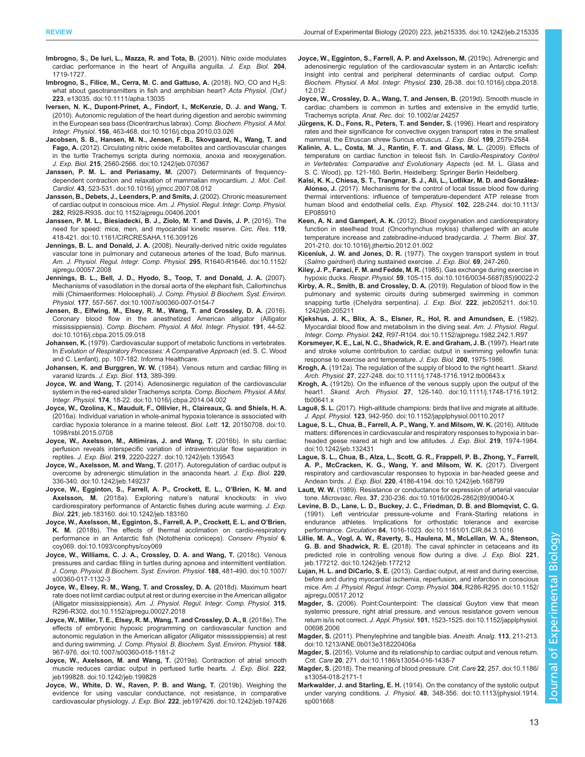- <span id="page-12-0"></span>Imbrogno, S., De Iuri, L., Mazza, R. and Tota, B. (2001). Nitric oxide modulates cardiac performance in the heart of Anguilla anguilla. J. Exp. Biol. 204, 1719-1727.
- [Imbrogno, S., Filice, M., Cerra, M. C. and Gattuso, A.](https://doi.org/10.1111/apha.13035) (2018). NO, CO and H<sub>2</sub>S: [what about gasotransmitters in fish and amphibian heart?](https://doi.org/10.1111/apha.13035) Acta Physiol. (Oxf.) 223[, e13035. doi:10.1111/apha.13035](https://doi.org/10.1111/apha.13035)
- [Iversen, N. K., Dupont-Prinet, A., Findorf, I., McKenzie, D. J. and Wang, T.](https://doi.org/10.1016/j.cbpa.2010.03.026) [\(2010\). Autonomic regulation of the heart during digestion and aerobic swimming](https://doi.org/10.1016/j.cbpa.2010.03.026) [in the European sea bass \(Dicentrarchus labrax\).](https://doi.org/10.1016/j.cbpa.2010.03.026) Comp. Biochem. Physiol. A Mol. Integr. Physiol. 156[, 463-468. doi:10.1016/j.cbpa.2010.03.026](https://doi.org/10.1016/j.cbpa.2010.03.026)
- [Jacobsen, S. B., Hansen, M. N., Jensen, F. B., Skovgaard, N., Wang, T. and](https://doi.org/10.1242/jeb.070367) Fago, A. [\(2012\). Circulating nitric oxide metabolites and cardiovascular changes](https://doi.org/10.1242/jeb.070367) [in the turtle Trachemys scripta during normoxia, anoxia and reoxygenation.](https://doi.org/10.1242/jeb.070367) J. Exp. Biol. 215[, 2560-2566. doi:10.1242/jeb.070367](https://doi.org/10.1242/jeb.070367)
- [Janssen, P. M. L. and Periasamy, M.](https://doi.org/10.1016/j.yjmcc.2007.08.012) (2007). Determinants of frequency[dependent contraction and relaxation of mammalian myocardium.](https://doi.org/10.1016/j.yjmcc.2007.08.012) J. Mol. Cell. Cardiol. 43[, 523-531. doi:10.1016/j.yjmcc.2007.08.012](https://doi.org/10.1016/j.yjmcc.2007.08.012)
- [Janssen, B., Debets, J., Leenders, P. and Smits, J.](https://doi.org/10.1152/ajpregu.00406.2001) (2002). Chronic measurement of cardiac output in conscious mice. [Am. J. Physiol. Regul. Integr. Comp. Physiol.](https://doi.org/10.1152/ajpregu.00406.2001) 282[, R928-R935. doi:10.1152/ajpregu.00406.2001](https://doi.org/10.1152/ajpregu.00406.2001)
- [Janssen, P. M. L., Biesiadecki, B. J., Ziolo, M. T. and Davis, J. P.](https://doi.org/10.1161/CIRCRESAHA.116.309126) (2016). The [need for speed: mice, men, and myocardial kinetic reserve.](https://doi.org/10.1161/CIRCRESAHA.116.309126) Circ. Res. 119, [418-421. doi:10.1161/CIRCRESAHA.116.309126](https://doi.org/10.1161/CIRCRESAHA.116.309126)
- Jennings, B. L. and Donald, J. A. [\(2008\). Neurally-derived nitric oxide regulates](https://doi.org/10.1152/ajpregu.00057.2008) [vascular tone in pulmonary and cutaneous arteries of the toad, Bufo marinus.](https://doi.org/10.1152/ajpregu.00057.2008) [Am. J. Physiol. Regul. Integr. Comp. Physiol.](https://doi.org/10.1152/ajpregu.00057.2008) 295, R1640-R1646. doi:10.1152/ [ajpregu.00057.2008](https://doi.org/10.1152/ajpregu.00057.2008)
- [Jennings, B. L., Bell, J. D., Hyodo, S., Toop, T. and Donald, J. A.](https://doi.org/10.1007/s00360-007-0154-7) (2007). [Mechanisms of vasodilation in the dorsal aorta of the elephant fish, Callorhinchus](https://doi.org/10.1007/s00360-007-0154-7) milii (Chimaeriformes: Holocephali). [J. Comp. Physiol. B Biochem. Syst. Environ.](https://doi.org/10.1007/s00360-007-0154-7) Physiol. 177[, 557-567. doi:10.1007/s00360-007-0154-7](https://doi.org/10.1007/s00360-007-0154-7)
- [Jensen, B., Elfwing, M., Elsey, R. M., Wang, T. and Crossley, D. A.](https://doi.org/10.1016/j.cbpa.2015.09.018) (2016). [Coronary blood flow in the anesthetized American alligator \(Alligator](https://doi.org/10.1016/j.cbpa.2015.09.018) mississippiensis). [Comp. Biochem. Physiol. A Mol. Integr. Physiol.](https://doi.org/10.1016/j.cbpa.2015.09.018) 191, 44-52. [doi:10.1016/j.cbpa.2015.09.018](https://doi.org/10.1016/j.cbpa.2015.09.018)
- Johansen, K. (1979). Cardiovascular support of metabolic functions in vertebrates. In Evolution of Respiratory Processes: A Comparative Approach (ed. S. C. Wood and C. Lenfant), pp. 107-182. Informa Healthcare.
- Johansen, K. and Burggren, W. W. (1984). Venous return and cardiac filling in varanid lizards. J. Exp. Biol. 113, 389-399.
- Joyce, W. and Wang, T. [\(2014\). Adenosinergic regulation of the cardiovascular](https://doi.org/10.1016/j.cbpa.2014.04.002) [system in the red-eared slider Trachemys scripta.](https://doi.org/10.1016/j.cbpa.2014.04.002) Comp. Biochem. Physiol. A Mol. Integr. Physiol. 174[, 18-22. doi:10.1016/j.cbpa.2014.04.002](https://doi.org/10.1016/j.cbpa.2014.04.002)
- [Joyce, W., Ozolina, K., Mauduit, F., Ollivier, H., Claireaux, G. and Shiels, H. A.](https://doi.org/10.1098/rsbl.2015.0708) [\(2016a\). Individual variation in whole-animal hypoxia tolerance is associated with](https://doi.org/10.1098/rsbl.2015.0708) [cardiac hypoxia tolerance in a marine teleost.](https://doi.org/10.1098/rsbl.2015.0708) Biol. Lett. 12, 20150708. doi:10. [1098/rsbl.2015.0708](https://doi.org/10.1098/rsbl.2015.0708)
- [Joyce, W., Axelsson, M., Altimiras, J. and Wang, T.](https://doi.org/10.1242/jeb.139543) (2016b). In situ cardiac [perfusion reveals interspecific variation of intraventricular flow separation in](https://doi.org/10.1242/jeb.139543) reptiles. J. Exp. Biol. 219[, 2220-2227. doi:10.1242/jeb.139543](https://doi.org/10.1242/jeb.139543)
- Joyce, W., Axelsson, M. and Wang, T. [\(2017\). Autoregulation of cardiac output is](https://doi.org/10.1242/jeb.149237) [overcome by adrenergic stimulation in the anaconda heart.](https://doi.org/10.1242/jeb.149237) J. Exp. Biol. 220, [336-340. doi:10.1242/jeb.149237](https://doi.org/10.1242/jeb.149237)
- [Joyce, W., Egginton, S., Farrell, A. P., Crockett, E. L., O](https://doi.org/10.1242/jeb.183160)'Brien, K. M. and Axelsson, M. (2018a). Exploring nature'[s natural knockouts: in vivo](https://doi.org/10.1242/jeb.183160) [cardiorespiratory performance of Antarctic fishes during acute warming.](https://doi.org/10.1242/jeb.183160) J. Exp. Biol. 221[, jeb.183160. doi:10.1242/jeb.183160](https://doi.org/10.1242/jeb.183160)
- [Joyce, W., Axelsson, M., Egginton, S., Farrell, A. P., Crockett, E. L. and O](https://doi.org/10.1093/conphys/coy069)'Brien, K. M. [\(2018b\). The effects of thermal acclimation on cardio-respiratory](https://doi.org/10.1093/conphys/coy069) [performance in an Antarctic fish \(Notothenia coriiceps\).](https://doi.org/10.1093/conphys/coy069) Conserv Physiol 6, [coy069. doi:10.1093/conphys/coy069](https://doi.org/10.1093/conphys/coy069)
- [Joyce, W., Williams, C. J. A., Crossley, D. A. and Wang, T.](https://doi.org/10.1007/s00360-017-1132-3) (2018c). Venous [pressures and cardiac filling in turtles during apnoea and intermittent ventilation.](https://doi.org/10.1007/s00360-017-1132-3) [J. Comp. Physiol. B Biochem. Syst. Environ. Physiol.](https://doi.org/10.1007/s00360-017-1132-3) 188, 481-490. doi:10.1007/ [s00360-017-1132-3](https://doi.org/10.1007/s00360-017-1132-3)
- [Joyce, W., Elsey, R. M., Wang, T. and Crossley, D. A.](https://doi.org/10.1152/ajpregu.00027.2018) (2018d). Maximum heart [rate does not limit cardiac output at rest or during exercise in the American alligator](https://doi.org/10.1152/ajpregu.00027.2018) (Alligator mississippiensis). [Am. J. Physiol. Regul. Integr. Comp. Physiol.](https://doi.org/10.1152/ajpregu.00027.2018) 315, [R296-R302. doi:10.1152/ajpregu.00027.2018](https://doi.org/10.1152/ajpregu.00027.2018)
- [Joyce, W., Miller, T. E., Elsey, R. M., Wang, T. and Crossley, D. A., II](https://doi.org/10.1007/s00360-018-1181-2). (2018e). The [effects of embryonic hypoxic programming on cardiovascular function and](https://doi.org/10.1007/s00360-018-1181-2) [autonomic regulation in the American alligator \(Alligator mississippiensis\) at rest](https://doi.org/10.1007/s00360-018-1181-2) and during swimming. [J. Comp. Physiol. B, Biochem. Syst. Environ. Physiol.](https://doi.org/10.1007/s00360-018-1181-2) 188, [967-976. doi:10.1007/s00360-018-1181-2](https://doi.org/10.1007/s00360-018-1181-2)
- [Joyce, W., Axelsson, M. and Wang, T.](https://doi.org/10.1242/jeb.199828) (2019a). Contraction of atrial smooth [muscle reduces cardiac output in perfused turtle hearts.](https://doi.org/10.1242/jeb.199828) J. Exp. Biol. 222, [jeb199828. doi:10.1242/jeb.199828](https://doi.org/10.1242/jeb.199828)
- [Joyce, W., White, D. W., Raven, P. B. and Wang, T.](https://doi.org/10.1242/jeb.197426) (2019b). Weighing the [evidence for using vascular conductance, not resistance, in comparative](https://doi.org/10.1242/jeb.197426) cardiovascular physiology. J. Exp. Biol. 222[, jeb197426. doi:10.1242/jeb.197426](https://doi.org/10.1242/jeb.197426)
- [Joyce, W., Egginton, S., Farrell, A. P. and Axelsson, M.](https://doi.org/10.1016/j.cbpa.2018.12.012) (2019c). Adrenergic and [adenosinergic regulation of the cardiovascular system in an Antarctic icefish:](https://doi.org/10.1016/j.cbpa.2018.12.012) [Insight into central and peripheral determinants of cardiac output.](https://doi.org/10.1016/j.cbpa.2018.12.012) Comp. [Biochem. Physiol. A Mol. Integr. Physiol.](https://doi.org/10.1016/j.cbpa.2018.12.012) 230, 28-38. doi:10.1016/j.cbpa.2018. [12.012](https://doi.org/10.1016/j.cbpa.2018.12.012)
- [Joyce, W., Crossley, D. A., Wang, T. and Jensen, B.](https://doi.org/ 10.1002/ar.24257) (2019d). Smooth muscle in [cardiac chambers is common in turtles and extensive in the emydid turtle,](https://doi.org/ 10.1002/ar.24257) Trachemys scripta. Anat. Rec. [doi: 10.1002/ar.24257](https://doi.org/ 10.1002/ar.24257)
- Jürgens, K. D., Fons, R., Peters, T. and Sender, S. (1996). Heart and respiratory rates and their significance for convective oxygen transport rates in the smallest mammal, the Etruscan shrew Suncus etruscus. J. Exp. Biol. 199, 2579-2584.
- Kalinin, A. L., Costa, M. J., Rantin, F. T. and Glass, M. L. (2009). Effects of temperature on cardiac function in teleost fish. In Cardio-Respiratory Control in Vertebrates: Comparative and Evolutionary Aspects (ed. M. L. Glass and S. C. Wood), pp. 121-160. Berlin, Heidelberg: Springer Berlin Heidelberg.
- Kalsi, K. K., Chiesa, S. T., Trangmar, S. J., Ali, L., Lotlikar, M. D. and González-Alonso, J. [\(2017\). Mechanisms for the control of local tissue blood flow during](https://doi.org/10.1113/EP085910) [thermal interventions: influence of temperature-dependent ATP release from](https://doi.org/10.1113/EP085910) [human blood and endothelial cells.](https://doi.org/10.1113/EP085910) Exp. Physiol. 102, 228-244. doi:10.1113/ [EP085910](https://doi.org/10.1113/EP085910)
- Keen, A. N. and Gamperl, A. K. [\(2012\). Blood oxygenation and cardiorespiratory](https://doi.org/10.1016/j.jtherbio.2012.01.002) [function in steelhead trout \(Oncorhynchus mykiss\) challenged with an acute](https://doi.org/10.1016/j.jtherbio.2012.01.002) [temperature increase and zatebradine-induced bradycardia.](https://doi.org/10.1016/j.jtherbio.2012.01.002) J. Therm. Biol. 37, [201-210. doi:10.1016/j.jtherbio.2012.01.002](https://doi.org/10.1016/j.jtherbio.2012.01.002)
- Kiceniuk, J. W. and Jones, D. R. (1977). The oxygen transport system in trout (Salmo gairdneri) during sustained exercise. J. Exp. Biol. 69, 247-260.
- [Kiley, J. P., Faraci, F. M. and Fedde, M. R.](https://doi.org/10.1016/0034-5687(85)90022-2) (1985). Gas exchange during exercise in hypoxic ducks. Respir. Physiol. 59[, 105-115. doi:10.1016/0034-5687\(85\)90022-2](https://doi.org/10.1016/0034-5687(85)90022-2)
- [Kirby, A. R., Smith, B. and Crossley, D. A.](https://doi.org/10.1242/jeb.205211) (2019). Regulation of blood flow in the [pulmonary and systemic circuits during submerged swimming in common](https://doi.org/10.1242/jeb.205211) [snapping turtle \(Chelydra serpentina\).](https://doi.org/10.1242/jeb.205211) J. Exp. Biol. 222, jeb205211. doi:10. [1242/jeb.205211](https://doi.org/10.1242/jeb.205211)
- [Kjekshus, J. K., Blix, A. S., Elsner, R., Hol, R. and Amundsen, E.](https://doi.org/10.1152/ajpregu.1982.242.1.R97) (1982). [Myocardial blood flow and metabolism in the diving seal.](https://doi.org/10.1152/ajpregu.1982.242.1.R97) Am. J. Physiol. Regul. Integr. Comp. Physiol. 242[, R97-R104. doi:10.1152/ajpregu.1982.242.1.R97](https://doi.org/10.1152/ajpregu.1982.242.1.R97)
- Korsmeyer, K. E., Lai, N. C., Shadwick, R. E. and Graham, J. B. (1997). Heart rate and stroke volume contribution to cardiac output in swimming yellowfin tuna: response to exercise and temperature. J. Exp. Biol. 200, 1975-1986.
- Krogh, A. [\(1912a\). The regulation of the supply of blood to the right heart1.](https://doi.org/10.1111/j.1748-1716.1912.tb00643.x) Skand. Arch. Physiol. 27[, 227-248. doi:10.1111/j.1748-1716.1912.tb00643.x](https://doi.org/10.1111/j.1748-1716.1912.tb00643.x)
- Krogh, A. [\(1912b\). On the influence of the venous supply upon the output of the](https://doi.org/10.1111/j.1748-1716.1912.tb00641.x) heart1. Skand. Arch. Physiol. 27[, 126-140. doi:10.1111/j.1748-1716.1912.](https://doi.org/10.1111/j.1748-1716.1912.tb00641.x) [tb00641.x](https://doi.org/10.1111/j.1748-1716.1912.tb00641.x)
- Laguë, S. L. [\(2017\). High-altitude champions: birds that live and migrate at altitude.](https://doi.org/10.1152/japplphysiol.00110.2017) J. Appl. Physiol. 123[, 942-950. doi:10.1152/japplphysiol.00110.2017](https://doi.org/10.1152/japplphysiol.00110.2017)
- [Lague, S. L., Chua, B., Farrell, A. P., Wang, Y. and Milsom, W. K.](https://doi.org/10.1242/jeb.132431) (2016). Altitude [matters: differences in cardiovascular and respiratory responses to hypoxia in bar](https://doi.org/10.1242/jeb.132431)[headed geese reared at high and low altitudes.](https://doi.org/10.1242/jeb.132431) J. Exp. Biol. 219, 1974-1984. [doi:10.1242/jeb.132431](https://doi.org/10.1242/jeb.132431)
- [Lague, S. L., Chua, B., Alza, L., Scott, G. R., Frappell, P. B., Zhong, Y., Farrell,](https://doi.org/10.1242/jeb.168799) [A. P., McCracken, K. G., Wang, Y. and Milsom, W. K.](https://doi.org/10.1242/jeb.168799) (2017). Divergent [respiratory and cardiovascular responses to hypoxia in bar-headed geese and](https://doi.org/10.1242/jeb.168799) Andean birds. J. Exp. Biol. 220[, 4186-4194. doi:10.1242/jeb.168799](https://doi.org/10.1242/jeb.168799)
- Lautt, W. W. [\(1989\). Resistance or conductance for expression of arterial vascular](https://doi.org/10.1016/0026-2862(89)90040-X) tone. Microvasc. Res. 37[, 230-236. doi:10.1016/0026-2862\(89\)90040-X](https://doi.org/10.1016/0026-2862(89)90040-X)
- [Levine, B. D., Lane, L. D., Buckey, J. C., Friedman, D. B. and Blomqvist, C. G.](https://doi.org/10.1161/01.CIR.84.3.1016) [\(1991\). Left ventricular pressure-volume and Frank-Starling relations in](https://doi.org/10.1161/01.CIR.84.3.1016) [endurance athletes. Implications for orthostatic tolerance and exercise](https://doi.org/10.1161/01.CIR.84.3.1016) performance. Circulation 84[, 1016-1023. doi:10.1161/01.CIR.84.3.1016](https://doi.org/10.1161/01.CIR.84.3.1016)
- [Lillie, M. A., Vogl, A. W., Raverty, S., Haulena, M., McLellan, W. A., Stenson,](https://doi.org/10.1242/jeb.177212) G. B. and Shadwick, R. E. [\(2018\). The caval sphincter in cetaceans and its](https://doi.org/10.1242/jeb.177212) [predicted role in controlling venous flow during a dive.](https://doi.org/10.1242/jeb.177212) J. Exp. Biol. 221, [jeb.177212. doi:10.1242/jeb.177212](https://doi.org/10.1242/jeb.177212)
- Lujan, H. L. and DiCarlo, S. E. [\(2013\). Cardiac output, at rest and during exercise,](https://doi.org/10.1152/ajpregu.00517.2012) [before and during myocardial ischemia, reperfusion, and infarction in conscious](https://doi.org/10.1152/ajpregu.00517.2012) mice. [Am. J. Physiol. Regul. Integr. Comp. Physiol.](https://doi.org/10.1152/ajpregu.00517.2012) 304, R286-R295. doi:10.1152/ [ajpregu.00517.2012](https://doi.org/10.1152/ajpregu.00517.2012)
- Magder, S. [\(2006\). Point:Counterpoint: The classical Guyton view that mean](https://doi.org/10.1152/japplphysiol.00698.2006) [systemic pressure, right atrial pressure, and venous resistance govern venous](https://doi.org/10.1152/japplphysiol.00698.2006) return is/is not correct. J. Appl. Physiol. 101[, 1523-1525. doi:10.1152/japplphysiol.](https://doi.org/10.1152/japplphysiol.00698.2006) [00698.2006](https://doi.org/10.1152/japplphysiol.00698.2006)
- Magder, S. [\(2011\). Phenylephrine and tangible bias.](https://doi.org/10.1213/ANE.0b013e318220406a) Anesth. Analg. 113, 211-213. [doi:10.1213/ANE.0b013e318220406a](https://doi.org/10.1213/ANE.0b013e318220406a)
- Magder, S. [\(2016\). Volume and its relationship to cardiac output and venous return.](https://doi.org/10.1186/s13054-016-1438-7) Crit. Care 20[, 271. doi:10.1186/s13054-016-1438-7](https://doi.org/10.1186/s13054-016-1438-7)
- Magder, S. [\(2018\). The meaning of blood pressure.](https://doi.org/10.1186/s13054-018-2171-1) Crit. Care 22, 257. doi:10.1186/ [s13054-018-2171-1](https://doi.org/10.1186/s13054-018-2171-1)
- Markwalder, J. and Starling, E. H. [\(1914\). On the constancy of the systolic output](https://doi.org/10.1113/jphysiol.1914.sp001668) under varying conditions. J. Physiol. 48[, 348-356. doi:10.1113/jphysiol.1914.](https://doi.org/10.1113/jphysiol.1914.sp001668) [sp001668](https://doi.org/10.1113/jphysiol.1914.sp001668)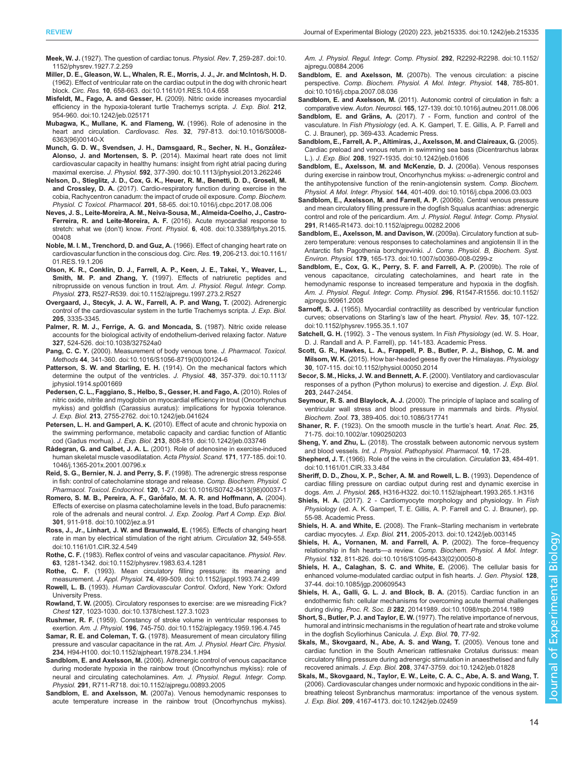<span id="page-13-0"></span>Meek, W. J. [\(1927\). The question of cardiac tonus.](https://doi.org/10.1152/physrev.1927.7.2.259) Physiol. Rev. 7, 259-287. doi:10. [1152/physrev.1927.7.2.259](https://doi.org/10.1152/physrev.1927.7.2.259)

- [Miller, D. E., Gleason, W. L., Whalen, R. E., Morris, J. J., Jr. and Mclntosh, H. D.](https://doi.org/10.1161/01.RES.10.4.658) [\(1962\). Effect of ventricular rate on the cardiac output in the dog with chronic heart](https://doi.org/10.1161/01.RES.10.4.658) block. Circ. Res. 10[, 658-663. doi:10.1161/01.RES.10.4.658](https://doi.org/10.1161/01.RES.10.4.658)
- Misfeldt, M., Fago, A. and Gesser, H. [\(2009\). Nitric oxide increases myocardial](https://doi.org/10.1242/jeb.025171) [efficiency in the hypoxia-tolerant turtle Trachemys scripta.](https://doi.org/10.1242/jeb.025171) J. Exp. Biol. 212, [954-960. doi:10.1242/jeb.025171](https://doi.org/10.1242/jeb.025171)
- [Mubagwa, K., Mullane, K. and Flameng, W.](https://doi.org/10.1016/S0008-6363(96)00140-X) (1996). Role of adenosine in the heart and circulation. Cardiovasc. Res. 32[, 797-813. doi:10.1016/S0008-](https://doi.org/10.1016/S0008-6363(96)00140-X) [6363\(96\)00140-X](https://doi.org/10.1016/S0008-6363(96)00140-X)
- Munch, G. D. W., Svendsen, J. H., Damsgaard, R., Secher, N. H., González-Alonso, J. and Mortensen, S. P. [\(2014\). Maximal heart rate does not limit](https://doi.org/10.1113/jphysiol.2013.262246) [cardiovascular capacity in healthy humans: insight from right atrial pacing during](https://doi.org/10.1113/jphysiol.2013.262246) maximal exercise. J. Physiol. 592[, 377-390. doi:10.1113/jphysiol.2013.262246](https://doi.org/10.1113/jphysiol.2013.262246)
- [Nelson, D., Stieglitz, J. D., Cox, G. K., Heuer, R. M., Benetti, D. D., Grosell, M.](https://doi.org/10.1016/j.cbpc.2017.08.006) and Crossley, D. A. [\(2017\). Cardio-respiratory function during exercise in the](https://doi.org/10.1016/j.cbpc.2017.08.006) [cobia, Rachycentron canadum: the impact of crude oil exposure.](https://doi.org/10.1016/j.cbpc.2017.08.006) Comp. Biochem. Physiol. C Toxicol. Pharmacol. 201[, 58-65. doi:10.1016/j.cbpc.2017.08.006](https://doi.org/10.1016/j.cbpc.2017.08.006)
- [Neves, J. S., Leite-Moreira, A. M., Neiva-Sousa, M., Almeida-Coelho, J., Castro-](https://doi.org/10.3389/fphys.2015.00408)[Ferreira, R. and Leite-Moreira, A. F.](https://doi.org/10.3389/fphys.2015.00408) (2016). Acute myocardial response to stretch: what we (don't) know. Front. Physiol. 6[, 408. doi:10.3389/fphys.2015.](https://doi.org/10.3389/fphys.2015.00408) [00408](https://doi.org/10.3389/fphys.2015.00408)
- [Noble, M. I. M., Trenchord, D. and Guz, A.](https://doi.org/10.1161/01.RES.19.1.206) (1966). Effect of changing heart rate on [cardiovascular function in the conscious dog.](https://doi.org/10.1161/01.RES.19.1.206) Circ. Res. 19, 206-213. doi:10.1161/ [01.RES.19.1.206](https://doi.org/10.1161/01.RES.19.1.206)
- [Olson, K. R., Conklin, D. J., Farrell, A. P., Keen, J. E., Takei, Y., Weaver, L.,](https://doi.org/10.1152/ajpregu.1997.273.2.R527) Smith, M. P. and Zhang, Y. [\(1997\). Effects of natriuretic peptides and](https://doi.org/10.1152/ajpregu.1997.273.2.R527) [nitroprusside on venous function in trout.](https://doi.org/10.1152/ajpregu.1997.273.2.R527) Am. J. Physiol. Regul. Integr. Comp. Physiol. 273[, R527-R539. doi:10.1152/ajpregu.1997.273.2.R527](https://doi.org/10.1152/ajpregu.1997.273.2.R527)
- Overgaard, J., Stecyk, J. A. W., Farrell, A. P. and Wang, T. (2002). Adrenergic control of the cardiovascular system in the turtle Trachemys scripta. J. Exp. Biol. 205, 3335-3345.
- [Palmer, R. M. J., Ferrige, A. G. and Moncada, S.](https://doi.org/10.1038/327524a0) (1987). Nitric oxide release [accounts for the biological activity of endothelium-derived relaxing factor.](https://doi.org/10.1038/327524a0) Nature 327[, 524-526. doi:10.1038/327524a0](https://doi.org/10.1038/327524a0)
- Pang, C. C. Y. [\(2000\). Measurement of body venous tone.](https://doi.org/10.1016/S1056-8719(00)00124-6) J. Pharmacol. Toxicol. Methods 44[, 341-360. doi:10.1016/S1056-8719\(00\)00124-6](https://doi.org/10.1016/S1056-8719(00)00124-6)
- Patterson, S. W. and Starling, E. H. [\(1914\). On the mechanical factors which](https://doi.org/10.1113/jphysiol.1914.sp001669) [determine the output of the ventricles.](https://doi.org/10.1113/jphysiol.1914.sp001669) J. Physiol. 48, 357-379. doi:10.1113/ [jphysiol.1914.sp001669](https://doi.org/10.1113/jphysiol.1914.sp001669)
- [Pedersen, C. L., Faggiano, S., Helbo, S., Gesser, H. and Fago, A.](https://doi.org/10.1242/jeb.041624) (2010). Roles of [nitric oxide, nitrite and myoglobin on myocardial efficiency in trout \(Oncorhynchus](https://doi.org/10.1242/jeb.041624) [mykiss\) and goldfish \(Carassius auratus\): implications for hypoxia tolerance.](https://doi.org/10.1242/jeb.041624) J. Exp. Biol. 213[, 2755-2762. doi:10.1242/jeb.041624](https://doi.org/10.1242/jeb.041624)
- Petersen, L. H. and Gamperl, A. K. [\(2010\). Effect of acute and chronic hypoxia on](https://doi.org/10.1242/jeb.033746) [the swimming performance, metabolic capacity and cardiac function of Atlantic](https://doi.org/10.1242/jeb.033746) cod (Gadus morhua). J. Exp. Biol. 213[, 808-819. doi:10.1242/jeb.033746](https://doi.org/10.1242/jeb.033746)
- Rådegran, G. and Calbet, J. A. L. [\(2001\). Role of adenosine in exercise-induced](https://doi.org/10.1046/j.1365-201x.2001.00796.x) [human skeletal muscle vasodilatation.](https://doi.org/10.1046/j.1365-201x.2001.00796.x) Acta Physiol. Scand. 171, 177-185. doi:10. [1046/j.1365-201x.2001.00796.x](https://doi.org/10.1046/j.1365-201x.2001.00796.x)
- [Reid, S. G., Bernier, N. J. and Perry, S. F.](https://doi.org/10.1016/S0742-8413(98)00037-1) (1998). The adrenergic stress response [in fish: control of catecholamine storage and release.](https://doi.org/10.1016/S0742-8413(98)00037-1) Comp. Biochem. Physiol. C Pharmacol. Toxicol. Endocrinol. 120[, 1-27. doi:10.1016/S0742-8413\(98\)00037-1](https://doi.org/10.1016/S0742-8413(98)00037-1)
- Romero, S. M. B., Pereira, A. F., Garófalo, M. A. R. and Hoffmann, A. (2004). [Effects of exercise on plasma catecholamine levels in the toad, Bufo paracnemis:](https://doi.org/10.1002/jez.a.91) role of the adrenals and neural control. [J. Exp. Zoolog. Part A Comp. Exp. Biol.](https://doi.org/10.1002/jez.a.91) 301[, 911-918. doi:10.1002/jez.a.91](https://doi.org/10.1002/jez.a.91)
- [Ross, J., Jr., Linhart, J. W. and Braunwald, E.](https://doi.org/10.1161/01.CIR.32.4.549) (1965). Effects of changing heart [rate in man by electrical stimulation of the right atrium.](https://doi.org/10.1161/01.CIR.32.4.549) Circulation 32, 549-558. [doi:10.1161/01.CIR.32.4.549](https://doi.org/10.1161/01.CIR.32.4.549)
- Rothe, C. F. [\(1983\). Reflex control of veins and vascular capacitance.](https://doi.org/10.1152/physrev.1983.63.4.1281) Physiol. Rev. 63[, 1281-1342. doi:10.1152/physrev.1983.63.4.1281](https://doi.org/10.1152/physrev.1983.63.4.1281)
- Rothe, C. F. [\(1993\). Mean circulatory filling pressure: its meaning and](https://doi.org/10.1152/jappl.1993.74.2.499) measurement. J. Appl. Physiol. 74[, 499-509. doi:10.1152/jappl.1993.74.2.499](https://doi.org/10.1152/jappl.1993.74.2.499)
- Rowell, L. B. (1993). Human Cardiovascular Control. Oxford, New York: Oxford University Press.
- Rowland, T. W. [\(2005\). Circulatory responses to exercise: are we misreading Fick?](https://doi.org/10.1378/chest.127.3.1023) Chest 127[, 1023-1030. doi:10.1378/chest.127.3.1023](https://doi.org/10.1378/chest.127.3.1023)
- Rushmer, R. F. [\(1959\). Constancy of stroke volume in ventricular responses to](https://doi.org/10.1152/ajplegacy.1959.196.4.745) exertion. Am. J. Physiol. 196[, 745-750. doi:10.1152/ajplegacy.1959.196.4.745](https://doi.org/10.1152/ajplegacy.1959.196.4.745)
- Samar, R. E. and Coleman, T. G. [\(1978\). Measurement of mean circulatory filling](https://doi.org/10.1152/ajpheart.1978.234.1.H94) [pressure and vascular capacitance in the rat.](https://doi.org/10.1152/ajpheart.1978.234.1.H94) Am. J. Physiol. Heart Circ. Physiol. 234[, H94-H100. doi:10.1152/ajpheart.1978.234.1.H94](https://doi.org/10.1152/ajpheart.1978.234.1.H94)
- Sandblom, E. and Axelsson, M. [\(2006\). Adrenergic control of venous capacitance](https://doi.org/10.1152/ajpregu.00893.2005) [during moderate hypoxia in the rainbow trout \(Oncorhynchus mykiss\): role of](https://doi.org/10.1152/ajpregu.00893.2005) [neural and circulating catecholamines.](https://doi.org/10.1152/ajpregu.00893.2005) Am. J. Physiol. Regul. Integr. Comp. Physiol. 291[, R711-R718. doi:10.1152/ajpregu.00893.2005](https://doi.org/10.1152/ajpregu.00893.2005)
- Sandblom, E. and Axelsson, M. [\(2007a\). Venous hemodynamic responses to](https://doi.org/10.1152/ajpregu.00884.2006) [acute temperature increase in the rainbow trout \(Oncorhynchus mykiss\).](https://doi.org/10.1152/ajpregu.00884.2006)

[Am. J. Physiol. Regul. Integr. Comp. Physiol.](https://doi.org/10.1152/ajpregu.00884.2006) 292, R2292-R2298. doi:10.1152/ [ajpregu.00884.2006](https://doi.org/10.1152/ajpregu.00884.2006)

- Sandblom, E. and Axelsson, M. [\(2007b\). The venous circulation: a piscine](https://doi.org/10.1016/j.cbpa.2007.08.036) perspective. [Comp. Biochem. Physiol. A Mol. Integr. Physiol.](https://doi.org/10.1016/j.cbpa.2007.08.036) 148, 785-801. [doi:10.1016/j.cbpa.2007.08.036](https://doi.org/10.1016/j.cbpa.2007.08.036)
- Sandblom, E. and Axelsson, M. [\(2011\). Autonomic control of circulation in fish: a](https://doi.org/10.1016/j.autneu.2011.08.006) comparative view. Auton. Neurosci. 165[, 127-139. doi:10.1016/j.autneu.2011.08.006](https://doi.org/10.1016/j.autneu.2011.08.006)
- Sandblom, E. and Gräns, A. (2017). 7 Form, function and control of the vasculature. In Fish Physiology (ed. A. K. Gamperl, T. E. Gillis, A. P. Farrell and C. J. Brauner), pp. 369-433. Academic Press.
- [Sandblom, E., Farrell, A. P., Altimiras, J., Axelsson, M. and Claireaux, G.](https://doi.org/10.1242/jeb.01606) (2005). [Cardiac preload and venous return in swimming sea bass \(Dicentrarchus labrax](https://doi.org/10.1242/jeb.01606) L.). J. Exp. Biol. 208[, 1927-1935. doi:10.1242/jeb.01606](https://doi.org/10.1242/jeb.01606)
- [Sandblom, E., Axelsson, M. and McKenzie, D. J.](https://doi.org/10.1016/j.cbpa.2006.03.003) (2006a). Venous responses [during exercise in rainbow trout, Oncorhynchus mykiss:](https://doi.org/10.1016/j.cbpa.2006.03.003) α-adrenergic control and [the antihypotensive function of the renin-angiotensin system.](https://doi.org/10.1016/j.cbpa.2006.03.003) Comp. Biochem. Physiol. A Mol. Integr. Physiol. 144[, 401-409. doi:10.1016/j.cbpa.2006.03.003](https://doi.org/10.1016/j.cbpa.2006.03.003)
- [Sandblom, E., Axelsson, M. and Farrell, A. P.](https://doi.org/10.1152/ajpregu.00282.2006) (2006b). Central venous pressure [and mean circulatory filling pressure in the dogfish Squalus acanthias: adrenergic](https://doi.org/10.1152/ajpregu.00282.2006) control and role of the pericardium. [Am. J. Physiol. Regul. Integr. Comp. Physiol.](https://doi.org/10.1152/ajpregu.00282.2006) 291[, R1465-R1473. doi:10.1152/ajpregu.00282.2006](https://doi.org/10.1152/ajpregu.00282.2006)
- [Sandblom, E., Axelsson, M. and Davison, W.](https://doi.org/10.1007/s00360-008-0299-z) (2009a). Circulatory function at sub[zero temperature: venous responses to catecholamines and angiotensin II in the](https://doi.org/10.1007/s00360-008-0299-z) [Antarctic fish Pagothenia borchgrevinki.](https://doi.org/10.1007/s00360-008-0299-z) J. Comp. Physiol. B, Biochem. Syst. Environ. Physiol. 179[, 165-173. doi:10.1007/s00360-008-0299-z](https://doi.org/10.1007/s00360-008-0299-z)
- [Sandblom, E., Cox, G. K., Perry, S. F. and Farrell, A. P.](https://doi.org/10.1152/ajpregu.90961.2008) (2009b). The role of [venous capacitance, circulating catecholamines, and heart rate in the](https://doi.org/10.1152/ajpregu.90961.2008) [hemodynamic response to increased temperature and hypoxia in the dogfish.](https://doi.org/10.1152/ajpregu.90961.2008) [Am. J. Physiol. Regul. Integr. Comp. Physiol.](https://doi.org/10.1152/ajpregu.90961.2008) 296, R1547-R1556. doi:10.1152/ [ajpregu.90961.2008](https://doi.org/10.1152/ajpregu.90961.2008)
- Sarnoff, S. J. [\(1955\). Myocardial contractility as described by ventricular function](https://doi.org/10.1152/physrev.1955.35.1.107) [curves; observations on Starling](https://doi.org/10.1152/physrev.1955.35.1.107)'s law of the heart. Physiol. Rev. 35, 107-122. [doi:10.1152/physrev.1955.35.1.107](https://doi.org/10.1152/physrev.1955.35.1.107)
- Satchell, G. H. (1992). 3 The venous system. In Fish Physiology (ed. W. S. Hoar, D. J. Randall and A. P. Farrell), pp. 141-183. Academic Press.
- [Scott, G. R., Hawkes, L. A., Frappell, P. B., Butler, P. J., Bishop, C. M. and](https://doi.org/10.1152/physiol.00050.2014) Milsom, W. K. [\(2015\). How bar-headed geese fly over the Himalayas.](https://doi.org/10.1152/physiol.00050.2014) Physiology 30[, 107-115. doi:10.1152/physiol.00050.2014](https://doi.org/10.1152/physiol.00050.2014)
- Secor, S. M., Hicks, J. W. and Bennett, A. F. (2000). Ventilatory and cardiovascular responses of a python (Python molurus) to exercise and digestion. J. Exp. Biol. 203, 2447-2454.
- Seymour, R. S. and Blaylock, A. J. [\(2000\). The principle of laplace and scaling of](https://doi.org/10.1086/317741) [ventricular wall stress and blood pressure in mammals and birds.](https://doi.org/10.1086/317741) Physiol. Biochem. Zool. 73[, 389-405. doi:10.1086/317741](https://doi.org/10.1086/317741)
- Shaner, R. F. [\(1923\). On the smooth muscle in the turtle](https://doi.org/10.1002/ar.1090250203)'s heart. Anat. Rec. 25, [71-75. doi:10.1002/ar.1090250203](https://doi.org/10.1002/ar.1090250203)
- Sheng, Y. and Zhu, L. (2018). The crosstalk between autonomic nervous system and blood vessels. Int. J. Physiol. Pathophysiol. Pharmacol. 10, 17-28.
- Shepherd, J. T. [\(1966\). Role of the veins in the circulation.](https://doi.org/10.1161/01.CIR.33.3.484) Circulation 33, 484-491. [doi:10.1161/01.CIR.33.3.484](https://doi.org/10.1161/01.CIR.33.3.484)
- [Sheriff, D. D., Zhou, X. P., Scher, A. M. and Rowell, L. B.](https://doi.org/10.1152/ajpheart.1993.265.1.H316) (1993). Dependence of [cardiac filling pressure on cardiac output during rest and dynamic exercise in](https://doi.org/10.1152/ajpheart.1993.265.1.H316) dogs. Am. J. Physiol. 265[, H316-H322. doi:10.1152/ajpheart.1993.265.1.H316](https://doi.org/10.1152/ajpheart.1993.265.1.H316)

Shiels, H. A. (2017). 2 - Cardiomyocyte morphology and physiology. In Fish Physiology (ed. A. K. Gamperl, T. E. Gillis, A. P. Farrell and C. J. Brauner), pp. 55-98. Academic Press.

- Shiels, H. A. and White, E. (2008). The Frank–[Starling mechanism in vertebrate](https://doi.org/10.1242/jeb.003145) cardiac myocytes. J. Exp. Biol. 211[, 2005-2013. doi:10.1242/jeb.003145](https://doi.org/10.1242/jeb.003145)
- [Shiels, H. A., Vornanen, M. and Farrell, A. P.](https://doi.org/10.1016/S1095-6433(02)00050-8) (2002). The force-frequency relationship in fish hearts—a review. [Comp. Biochem. Physiol. A Mol. Integr.](https://doi.org/10.1016/S1095-6433(02)00050-8) Physiol. 132[, 811-826. doi:10.1016/S1095-6433\(02\)00050-8](https://doi.org/10.1016/S1095-6433(02)00050-8)
- [Shiels, H. A., Calaghan, S. C. and White, E.](https://doi.org/10.1085/jgp.200609543) (2006). The cellular basis for [enhanced volume-modulated cardiac output in fish hearts.](https://doi.org/10.1085/jgp.200609543) J. Gen. Physiol. 128, [37-44. doi:10.1085/jgp.200609543](https://doi.org/10.1085/jgp.200609543)
- [Shiels, H. A., Galli, G. L. J. and Block, B. A.](https://doi.org/10.1098/rspb.2014.1989) (2015). Cardiac function in an [endothermic fish: cellular mechanisms for overcoming acute thermal challenges](https://doi.org/10.1098/rspb.2014.1989) during diving. Proc. R. Soc. B 282[, 20141989. doi:10.1098/rspb.2014.1989](https://doi.org/10.1098/rspb.2014.1989)
- Short, S., Butler, P. J. and Taylor, E. W. (1977). The relative importance of nervous, humoral and intrinsic mechanisms in the regulation of heart rate and stroke volume in the dogfish Scyliorhinus Canicula. J. Exp. Biol. 70, 77-92.
- [Skals, M., Skovgaard, N., Abe, A. S. and Wang, T.](https://doi.org/10.1242/jeb.01828) (2005). Venous tone and [cardiac function in the South American rattlesnake Crotalus durissus: mean](https://doi.org/10.1242/jeb.01828) [circulatory filling pressure during adrenergic stimulation in anaesthetised and fully](https://doi.org/10.1242/jeb.01828) recovered animals. J. Exp. Biol. 208[, 3747-3759. doi:10.1242/jeb.01828](https://doi.org/10.1242/jeb.01828)
- [Skals, M., Skovgaard, N., Taylor, E. W., Leite, C. A. C., Abe, A. S. and Wang, T.](https://doi.org/10.1242/jeb.02459) [\(2006\). Cardiovascular changes under normoxic and hypoxic conditions in the air](https://doi.org/10.1242/jeb.02459)[breathing teleost Synbranchus marmoratus: importance of the venous system.](https://doi.org/10.1242/jeb.02459) J. Exp. Biol. 209[, 4167-4173. doi:10.1242/jeb.02459](https://doi.org/10.1242/jeb.02459)

Biology